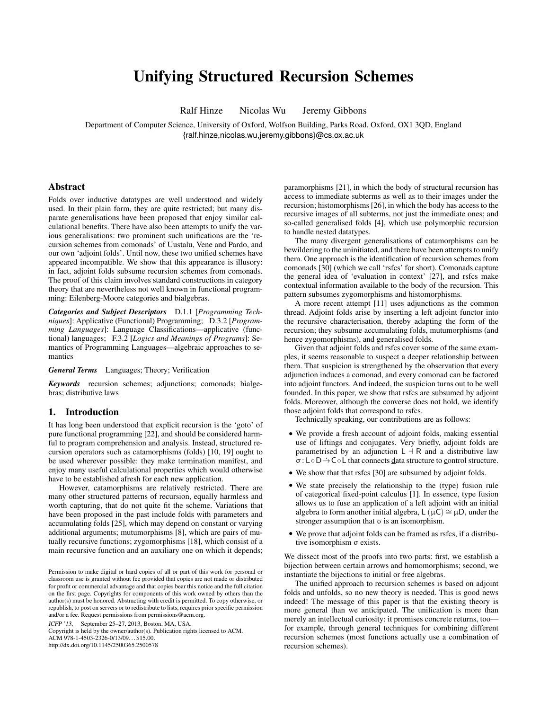# Unifying Structured Recursion Schemes

Ralf Hinze Nicolas Wu Jeremy Gibbons

Department of Computer Science, University of Oxford, Wolfson Building, Parks Road, Oxford, OX1 3QD, England {ralf.hinze,nicolas.wu,jeremy.gibbons}@cs.ox.ac.uk

# Abstract

Folds over inductive datatypes are well understood and widely used. In their plain form, they are quite restricted; but many disparate generalisations have been proposed that enjoy similar calculational benefits. There have also been attempts to unify the various generalisations: two prominent such unifications are the 'recursion schemes from comonads' of Uustalu, Vene and Pardo, and our own 'adjoint folds'. Until now, these two unified schemes have appeared incompatible. We show that this appearance is illusory: in fact, adjoint folds subsume recursion schemes from comonads. The proof of this claim involves standard constructions in category theory that are nevertheless not well known in functional programming: Eilenberg-Moore categories and bialgebras.

*Categories and Subject Descriptors* D.1.1 [*Programming Techniques*]: Applicative (Functional) Programming; D.3.2 [*Programming Languages*]: Language Classifications—applicative (functional) languages; F.3.2 [*Logics and Meanings of Programs*]: Semantics of Programming Languages—algebraic approaches to semantics

*General Terms* Languages; Theory; Verification

*Keywords* recursion schemes; adjunctions; comonads; bialgebras; distributive laws

# 1. Introduction

It has long been understood that explicit recursion is the 'goto' of pure functional programming [\[22\]](#page-11-0), and should be considered harmful to program comprehension and analysis. Instead, structured recursion operators such as catamorphisms (folds) [\[10,](#page-11-1) [19\]](#page-11-2) ought to be used wherever possible: they make termination manifest, and enjoy many useful calculational properties which would otherwise have to be established afresh for each new application.

However, catamorphisms are relatively restricted. There are many other structured patterns of recursion, equally harmless and worth capturing, that do not quite fit the scheme. Variations that have been proposed in the past include folds with parameters and accumulating folds [\[25\]](#page-11-3), which may depend on constant or varying additional arguments; mutumorphisms [\[8\]](#page-11-4), which are pairs of mutually recursive functions; zygomorphisms [\[18\]](#page-11-5), which consist of a main recursive function and an auxiliary one on which it depends;

ICFP '13, September 25–27, 2013, Boston, MA, USA.

Copyright is held by the owner/author(s). Publication rights licensed to ACM. ACM 978-1-4503-2326-0/13/09. . . \$15.00. http://dx.doi.org/10.1145/2500365.2500578

paramorphisms [\[21\]](#page-11-6), in which the body of structural recursion has access to immediate subterms as well as to their images under the recursion; histomorphisms [\[26\]](#page-11-7), in which the body has access to the recursive images of all subterms, not just the immediate ones; and so-called generalised folds [\[4\]](#page-11-8), which use polymorphic recursion to handle nested datatypes.

The many divergent generalisations of catamorphisms can be bewildering to the uninitiated, and there have been attempts to unify them. One approach is the identification of recursion schemes from comonads [\[30\]](#page-11-9) (which we call 'rsfcs' for short). Comonads capture the general idea of 'evaluation in context' [\[27\]](#page-11-10), and rsfcs make contextual information available to the body of the recursion. This pattern subsumes zygomorphisms and histomorphisms.

A more recent attempt [\[11\]](#page-11-11) uses adjunctions as the common thread. Adjoint folds arise by inserting a left adjoint functor into the recursive characterisation, thereby adapting the form of the recursion; they subsume accumulating folds, mutumorphisms (and hence zygomorphisms), and generalised folds.

Given that adjoint folds and rsfcs cover some of the same examples, it seems reasonable to suspect a deeper relationship between them. That suspicion is strengthened by the observation that every adjunction induces a comonad, and every comonad can be factored into adjoint functors. And indeed, the suspicion turns out to be well founded. In this paper, we show that rsfcs are subsumed by adjoint folds. Moreover, although the converse does not hold, we identify those adjoint folds that correspond to rsfcs.

Technically speaking, our contributions are as follows:

- We provide a fresh account of adjoint folds, making essential use of liftings and conjugates. Very briefly, adjoint folds are parametrised by an adjunction  $L \dashv R$  and a distributive law σ : L◦D→˙ C◦L that connects data structure to control structure.
- We show that that rsfcs [\[30\]](#page-11-9) are subsumed by adjoint folds.
- We state precisely the relationship to the (type) fusion rule of categorical fixed-point calculus [\[1\]](#page-11-12). In essence, type fusion allows us to fuse an application of a left adjoint with an initial algebra to form another initial algebra, L ( $\mu$ C) ≅  $\mu$ D, under the stronger assumption that  $\sigma$  is an isomorphism.
- We prove that adjoint folds can be framed as rsfcs, if a distributive isomorphism σ exists.

We dissect most of the proofs into two parts: first, we establish a bijection between certain arrows and homomorphisms; second, we instantiate the bijections to initial or free algebras.

The unified approach to recursion schemes is based on adjoint folds and unfolds, so no new theory is needed. This is good news indeed! The message of this paper is that the existing theory is more general than we anticipated. The unification is more than merely an intellectual curiosity: it promises concrete returns, too for example, through general techniques for combining different recursion schemes (most functions actually use a combination of recursion schemes).

Permission to make digital or hard copies of all or part of this work for personal or classroom use is granted without fee provided that copies are not made or distributed for profit or commercial advantage and that copies bear this notice and the full citation on the first page. Copyrights for components of this work owned by others than the author(s) must be honored. Abstracting with credit is permitted. To copy otherwise, or republish, to post on servers or to redistribute to lists, requires prior specific permission and/or a fee. Request permissions from permissions@acm.org.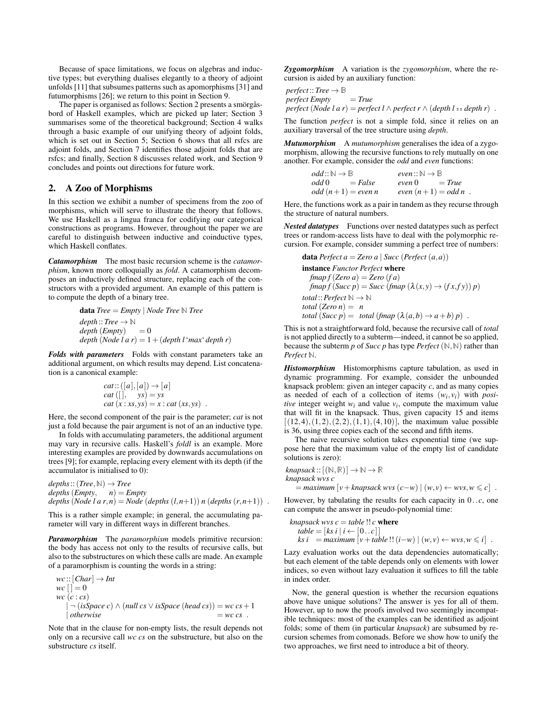Because of space limitations, we focus on algebras and inductive types; but everything dualises elegantly to a theory of adjoint unfolds [\[11\]](#page-11-11) that subsumes patterns such as apomorphisms [\[31\]](#page-11-13) and futumorphisms [\[26\]](#page-11-7); we return to this point in Section [9.](#page-10-0)

The paper is organised as follows: Section [2](#page-1-0) presents a smörgåsbord of Haskell examples, which are picked up later; Section [3](#page-2-0) summarises some of the theoretical background; Section [4](#page-3-0) walks through a basic example of our unifying theory of adjoint folds, which is set out in Section [5;](#page-4-0) Section [6](#page-7-0) shows that all rsfcs are adjoint folds, and Section [7](#page-9-0) identifies those adjoint folds that are rsfcs; and finally, Section [8](#page-10-1) discusses related work, and Section [9](#page-10-0) concludes and points out directions for future work.

## <span id="page-1-0"></span>2. A Zoo of Morphisms

In this section we exhibit a number of specimens from the zoo of morphisms, which will serve to illustrate the theory that follows. We use Haskell as a lingua franca for codifying our categorical constructions as programs. However, throughout the paper we are careful to distinguish between inductive and coinductive types, which Haskell conflates.

*Catamorphism* The most basic recursion scheme is the *catamorphism*, known more colloquially as *fold*. A catamorphism decomposes an inductively defined structure, replacing each of the constructors with a provided argument. An example of this pattern is to compute the depth of a binary tree.

**data** *Tree* = *Empty* | *Node Tree* N *Tree*  
*depth* :: *Tree* 
$$
\rightarrow
$$
 N  
*depth* (*Empty*) = 0  
*depth* (*Node l a r*) = 1 + (*depth l* 'max' *depth r*)

*Folds with parameters* Folds with constant parameters take an additional argument, on which results may depend. List concatenation is a canonical example:

$$
cat::([a],[a]) \rightarrow [a]
$$
  
\n
$$
cat([], \quad ys) = ys
$$
  
\n
$$
cat(x:xs,ys) = x:cat(xs,ys)
$$
.

Here, the second component of the pair is the parameter; *cat* is not just a fold because the pair argument is not of an an inductive type.

In folds with accumulating parameters, the additional argument may vary in recursive calls. Haskell's *foldl* is an example. More interesting examples are provided by downwards accumulations on trees [\[9\]](#page-11-14); for example, replacing every element with its depth (if the accumulator is initialised to 0):

 $depths::(Tree, \mathbb{N}) \rightarrow Tree$  $depths$   $(Empty, n) = Empty$ *depths*  $(Node \, l \, a \, r, n) = Node \, (depths \, (l, n+1)) \, n \, (depths \, (r, n+1))$ .

This is a rather simple example; in general, the accumulating parameter will vary in different ways in different branches.

*Paramorphism* The *paramorphism* models primitive recursion: the body has access not only to the results of recursive calls, but also to the substructures on which these calls are made. An example of a paramorphism is counting the words in a string:

$$
wc::[Char] \rightarrow Int
$$
  
\n
$$
wc [] = 0
$$
  
\n
$$
wc (c: cs)
$$
  
\n
$$
\neg (isSpace c) \land (null cs \lor isSpace (head cs)) = wc cs + 1
$$
  
\n
$$
otherwise = wc cs .
$$

Note that in the clause for non-empty lists, the result depends not only on a recursive call *wc cs* on the substructure, but also on the substructure *cs* itself.

*Zygomorphism* A variation is the *zygomorphism*, where the recursion is aided by an auxiliary function:

$$
perfect: Tree \rightarrow \mathbb{B}
$$
  
perfect Empty = True  
perfect (Node l a r) = perfect l \land perfect r \land (depth l == depth r) .

The function *perfect* is not a simple fold, since it relies on an auxiliary traversal of the tree structure using *depth*.

*Mutumorphism* A *mutumorphism* generalises the idea of a zygomorphism, allowing the recursive functions to rely mutually on one another. For example, consider the *odd* and *even* functions:

*odd* :: 
$$
\mathbb{N} \to \mathbb{B}
$$
  
\n*odd* 0 = *False*  
\n*odd* (n+1) = *even* n  
\n*even* (n+1) = *odd* n.

Here, the functions work as a pair in tandem as they recurse through the structure of natural numbers.

*Nested datatypes* Functions over nested datatypes such as perfect trees or random-access lists have to deal with the polymorphic recursion. For example, consider summing a perfect tree of numbers:

**data** Perfect 
$$
a = Zero \ a \mid Succ
$$
 (Perfect  $(a, a)$ )  
\n**instance** Function Perfect **where**  
\n
$$
fmap f (Zero \ a) = Zero \ (fa)
$$
\n
$$
fmap f (Succ p) = Succ \ (fmap \ (\lambda(x, y) \rightarrow (fx, fy)) \ p)
$$
\n
$$
total :: Perfect \ N \rightarrow N
$$
\n
$$
total \ (Zero \ n) = n
$$
\n
$$
total \ (Succ p) = total \ (fmap \ (\lambda(a, b) \rightarrow a + b) \ p) \ .
$$

This is not a straightforward fold, because the recursive call of *total* is not applied directly to a subterm—indeed, it cannot be so applied, because the subterm *p* of *Succ p* has type *Perfect* (**N**,**N**) rather than *Perfect* **N**.

*Histomorphism* Histomorphisms capture tabulation, as used in dynamic programming. For example, consider the unbounded knapsack problem: given an integer capacity *c*, and as many copies as needed of each of a collection of items  $(w_i, v_i)$  with *positive* integer weight  $w_i$  and value  $v_i$ , compute the maximum value that will fit in the knapsack. Thus, given capacity 15 and items  $[(12,4),(1,2),(2,2),(1,1),(4,10)]$ , the maximum value possible is 36, using three copies each of the second and fifth items.

The naive recursive solution takes exponential time (we suppose here that the maximum value of the empty list of candidate solutions is zero):

$$
knapsack::[(\mathbb{N}, \mathbb{R})] \to \mathbb{N} \to \mathbb{R}
$$
  
\n
$$
knapsack wvs c
$$
  
\n
$$
= maximum \left[ v + knapsack wvs (c-w) \mid (w, v) \leftarrow wvs, w \leq c \right].
$$

However, by tabulating the results for each capacity in 0.. *c*, one can compute the answer in pseudo-polynomial time:

$$
knapsack\,wvs\,c = table!!c\,\text{where}
$$
\n
$$
table = [ks\,i\,|\,i \leftarrow [0..c]]
$$
\n
$$
ks\,i\,=\,maximum\,[v + table\,!!\,(i-w)\,|\,(w,v) \leftarrow wvs, w \leq i]\,.
$$

Lazy evaluation works out the data dependencies automatically; but each element of the table depends only on elements with lower indices, so even without lazy evaluation it suffices to fill the table in index order.

Now, the general question is whether the recursion equations above have unique solutions? The answer is yes for all of them. However, up to now the proofs involved two seemingly incompatible techniques: most of the examples can be identified as adjoint folds; some of them (in particular *knapsack*) are subsumed by recursion schemes from comonads. Before we show how to unify the two approaches, we first need to introduce a bit of theory.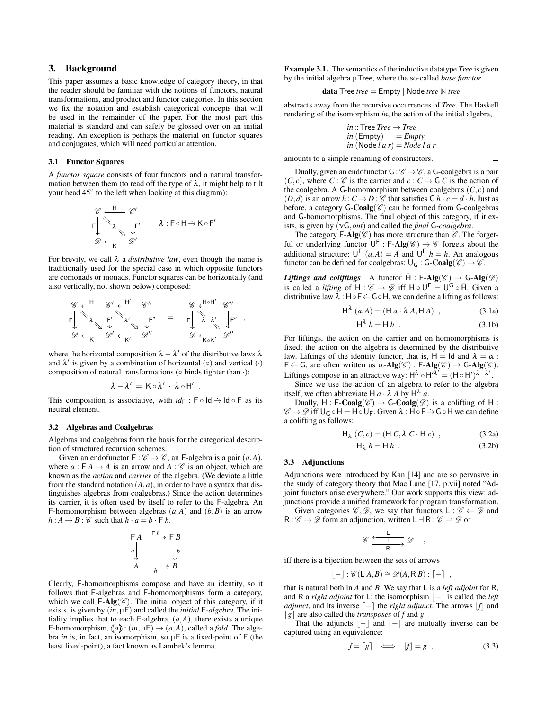# <span id="page-2-0"></span>3. Background

This paper assumes a basic knowledge of category theory, in that the reader should be familiar with the notions of functors, natural transformations, and product and functor categories. In this section we fix the notation and establish categorical concepts that will be used in the remainder of the paper. For the most part this material is standard and can safely be glossed over on an initial reading. An exception is perhaps the material on functor squares and conjugates, which will need particular attention.

## 3.1 Functor Squares

A *functor square* consists of four functors and a natural transformation between them (to read off the type of  $\lambda$ , it might help to tilt your head 45° to the left when looking at this diagram):

$$
\begin{array}{c}\n\mathscr{C} \xleftarrow{H} \mathscr{C}' \\
F \downarrow^{\infty} \lambda \downarrow^{\infty} \\
\mathscr{D} \xleftarrow{K} \mathscr{D}'\n\end{array}\n\lambda : F \circ H \to K \circ F' .
$$

For brevity, we call  $\lambda$  a *distributive law*, even though the name is traditionally used for the special case in which opposite functors are comonads or monads. Functor squares can be horizontally (and also vertically, not shown below) composed:

$$
\begin{array}{ccc} \mathscr{C} & \xleftarrow{\mathsf{H}} & \mathscr{C}' & \xleftarrow{\mathsf{H}'} & \mathscr{C}'' \\ \mathsf{F} & \lambda & \mathsf{F}' & \lambda' & \mathsf{F}'' \\ \mathscr{D} & \xleftarrow{\mathsf{K}} & \mathscr{D}' & \xleftarrow{\mathsf{K}''} & \mathscr{D}'' \end{array} \hspace{1.5cm} \begin{array}{ccc} \mathscr{C} & \xleftarrow{\mathsf{H}\circ\mathsf{H}'} & \mathscr{C}'' \\ \mathsf{F} & \lambda - \lambda' & \mathsf{F}'' \\ \mathscr{D} & \xleftarrow{\mathsf{K}} & \mathscr{D}' \end{array}
$$

,

where the horizontal composition  $\lambda - \lambda'$  of the distributive laws  $\lambda$ and  $\lambda'$  is given by a combination of horizontal ( $\circ$ ) and vertical ( $\cdot$ ) composition of natural transformations (◦ binds tighter than ·):

$$
\lambda-\lambda' \,=\, K\!\circ\!\lambda' \,\cdot\, \lambda\!\circ\! H'
$$

.

This composition is associative, with  $id_F : F \circ Id \rightarrow Id \circ F$  as its neutral element.

## 3.2 Algebras and Coalgebras

Algebras and coalgebras form the basis for the categorical description of structured recursion schemes.

Given an endofunctor  $F : \mathscr{C} \to \mathscr{C}$ , an F-algebra is a pair  $(a, A)$ , where  $a : F A \rightarrow A$  is an arrow and  $A : \mathscr{C}$  is an object, which are known as the *action* and *carrier* of the algebra. (We deviate a little from the standard notation  $(A, a)$ , in order to have a syntax that distinguishes algebras from coalgebras.) Since the action determines its carrier, it is often used by itself to refer to the F-algebra. An F-homomorphism between algebras  $(a, A)$  and  $(b, B)$  is an arrow  $h: A \rightarrow B: \mathcal{C}$  such that  $h \cdot a = b \cdot F h$ .

$$
\begin{array}{ccc}\nF A & \xrightarrow{F h} & F B \\
a & & b \\
A & & B\n\end{array}
$$

F *h*

Clearly, F-homomorphisms compose and have an identity, so it follows that F-algebras and F-homomorphisms form a category, which we call  $F\text{-}\mathbf{Alg}(\mathscr{C})$ . The initial object of this category, if it exists, is given by  $(in, \mu)$  and called the *initial* F-algebra. The initiality implies that to each  $F$ -algebra,  $(a, A)$ , there exists a unique F-homomorphism,  $(a)$ :  $(in, \mu) \rightarrow (a, A)$ , called a *fold*. The algebra *in* is, in fact, an isomorphism, so  $\mu$ F is a fixed-point of F (the least fixed-point), a fact known as Lambek's lemma.

Example 3.1. The semantics of the inductive datatype *Tree* is given by the initial algebra µTree, where the so-called *base functor*

**data** Tree *tree* = Empty | Node *tree* 
$$
\mathbb{N}
$$
 *tree*

abstracts away from the recursive occurrences of *Tree*. The Haskell rendering of the isomorphism *in*, the action of the initial algebra,

$$
in::Tree Tree \rightarrow Tree
$$
  
in (Empty) = Empty  
in (Node *l* a *r*) = Node *l* a *r*

amounts to a simple renaming of constructors.

Dually, given an endofunctor  $G: \mathscr{C} \to \mathscr{C}$ , a G-coalgebra is a pair  $(C, c)$ , where  $C : \mathscr{C}$  is the carrier and  $c : C \rightarrow G$  *C* is the action of the coalgebra. A G-homomorphism between coalgebras  $(C, c)$  and  $(D,d)$  is an arrow  $h: C \to D: C$  that satisfies  $\overline{G} h \cdot c = d \cdot h$ . Just as before, a category  $G\text{-}\mathbf{Coalg}(\mathscr{C})$  can be formed from  $G\text{-}\mathrm{coalgebras}$ and G-homomorphisms. The final object of this category, if it exists, is given by (νG,*out*) and called the *final* G*-coalgebra*.

The category F-Alg( $\mathscr{C}$ ) has more structure than  $\mathscr{C}$ . The forgetful or underlying functor  $U^F$ : F-Alg( $\mathscr{C}$ )  $\rightarrow \mathscr{C}$  forgets about the additional structure:  $U^F(a,A) = A$  and  $U^F h = h$ . An analogous functor can be defined for coalgebras:  $\bigcup_{G}$ : **G-Coalg**( $\mathscr{C}$ )  $\rightarrow \mathscr{C}$ .

*Liftings and coliftings* A functor  $\overline{H}$  : F-Alg( $\mathscr{C}$ )  $\rightarrow$  G-Alg( $\mathscr{D}$ ) is called a *lifting* of  $H : \mathscr{C} \to \mathscr{D}$  iff  $H \circ U^F = U^G \circ \overline{H}$ . Given a distributive law  $\lambda$  : H  $\circ$  F  $\leftarrow$  G $\circ$  H, we can define a lifting as follows:

$$
\mathsf{H}^{\lambda}(a, A) = (\mathsf{H} a \cdot \lambda A, \mathsf{H} A), \qquad (3.1a)
$$

<span id="page-2-3"></span><span id="page-2-2"></span>
$$
\mathsf{H}^{\lambda} h = \mathsf{H} h . \tag{3.1b}
$$

For liftings, the action on the carrier and on homomorphisms is fixed; the action on the algebra is determined by the distributive law. Liftings of the identity functor, that is,  $H = Id$  and  $\lambda = \alpha$ :  $F \leftarrow G$ , are often written as  $\alpha$ -Alg( $\mathscr{C}$ ) : F-Alg( $\mathscr{C}$ )  $\rightarrow$  G-Alg( $\mathscr{C}$ ). Liftings compose in an attractive way:  $H^{\lambda} \circ H^{\prime \bar{\lambda}'} = (H \circ H')^{\lambda - \lambda'}$ .

Since we use the action of an algebra to refer to the algebra itself, we often abbreviate H  $a \cdot \lambda A$  by H<sup> $\lambda$ </sup> a.

Dually,  $\underline{H}$ : F-Coalg( $\mathscr{C}$ )  $\rightarrow$  G-Coalg( $\mathscr{D}$ ) is a colifting of H:  $\mathscr{C} \to \mathscr{D}$  iff  $U_G \circ \underline{H} = H \circ U_F$ . Given  $\lambda : H \circ F \to G \circ H$  we can define a colifting as follows:

$$
\mathsf{H}_{\lambda}(C,c) = (\mathsf{H} C, \lambda C \cdot \mathsf{H} c) , \qquad (3.2a)
$$

$$
\mathsf{H}_{\lambda} \; h = \mathsf{H} \; h \; . \tag{3.2b}
$$

,

#### 3.3 Adjunctions

Adjunctions were introduced by Kan [\[14\]](#page-11-15) and are so pervasive in the study of category theory that Mac Lane [\[17,](#page-11-16) p.vii] noted "Adjoint functors arise everywhere." Our work supports this view: adjunctions provide a unified framework for program transformation.

Given categories  $\mathscr{C}, \mathscr{D}$ , we say that functors  $L : \mathscr{C} \leftarrow \mathscr{D}$  and  $R: \mathscr{C} \to \mathscr{D}$  form an adjunction, written  $L \dashv R: \mathscr{C} \to \mathscr{D}$  or

$$
\mathscr{C} \xrightarrow[\phantom{a]{\text{max}}}^{\mathsf{L}} \mathscr{D}
$$

iff there is a bijection between the sets of arrows

$$
\lfloor - \rfloor : \mathscr{C}(\mathsf{L}\,A,B) \cong \mathscr{D}(A,\mathsf{R}\,B) : \lceil - \rceil \enspace ,
$$

that is natural both in *A* and *B*. We say that L is a *left adjoint* for R, and R a *right adjoint* for L; the isomorphism  $|-|$  is called the *left adjunct*, and its inverse  $\lceil - \rceil$  the *right adjunct*. The arrows  $\lfloor f \rfloor$  and  $[g]$  are also called the *transposes* of *f* and *g*.

That the adjuncts  $|-|$  and  $[-]$  are mutually inverse can be captured using an equivalence:

<span id="page-2-1"></span>
$$
f = [g] \iff |f| = g \tag{3.3}
$$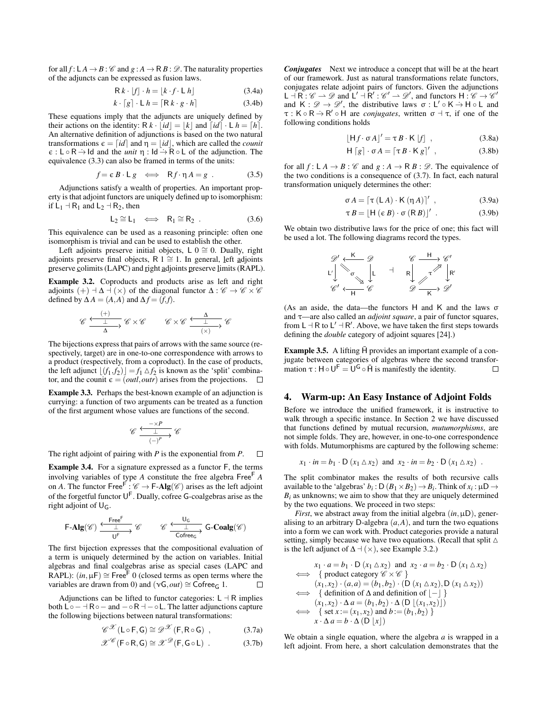for all  $f: L A \rightarrow B : \mathscr{C}$  and  $g: A \rightarrow R B : \mathscr{D}$ . The naturality properties of the adjuncts can be expressed as fusion laws.

$$
\mathsf{R} k \cdot [f] \cdot h = [k \cdot f \cdot \mathsf{L} h] \tag{3.4a}
$$

$$
k \cdot [g] \cdot \mathsf{L} \, h = [R \, k \cdot g \cdot h] \tag{3.4b}
$$

These equations imply that the adjuncts are uniquely defined by their actions on the identity:  $R k \cdot |id| = |k|$  and  $id \cdot L h = [h]$ . An alternative definition of adjunctions is based on the two natural transformations  $\epsilon = \lceil id \rceil$  and  $\eta = |id|$ , which are called the *counit*  $\epsilon : L \circ R \rightarrow Id$  and the *unit*  $\eta : Id \rightarrow R \circ L$  of the adjunction. The equivalence [\(3.3\)](#page-2-1) can also be framed in terms of the units:

$$
f = \varepsilon B \cdot \mathsf{L} g \iff \mathsf{R} f \cdot \eta A = g \tag{3.5}
$$

Adjunctions satisfy a wealth of properties. An important property is that adjoint functors are uniquely defined up to isomorphism: if  $L_1$   $\neg R_1$  and  $L_2$   $\neg R_2$ , then

<span id="page-3-6"></span>
$$
L_2 \cong L_1 \iff R_1 \cong R_2 . \tag{3.6}
$$

This equivalence can be used as a reasoning principle: often one isomorphism is trivial and can be used to establish the other.

Left adjoints preserve initial objects, L  $0 \approx 0$ . Dually, right adjoints preserve final objects, R  $1 \approx 1$ . In general, left adjoints preserve colimits (LAPC) and right adjoints preserve limits (RAPL).

<span id="page-3-2"></span>Example 3.2. Coproducts and products arise as left and right adjoints  $(+)$   $\exists \Delta \exists (\times)$  of the diagonal functor  $\Delta : \mathscr{C} \rightarrow \mathscr{C} \times \mathscr{C}$ defined by  $\Delta A = (A, A)$  and  $\Delta f = (f, f)$ .

$$
\mathscr{C}\xrightarrow[\Delta]{\begin{array}{c}\begin{array}{c}\begin{array}{c}\begin{array}{c}\begin{array}{c}\begin{array}{c}\end{array}\end{array}\\\begin{array}{c}\end{array}\\\begin{array}{c}\end{array}\end{array}\\\begin{array}{c}\begin{array}{c}\end{array}\end{array}\end{array}\end{array}\end{array}\mathscr{C}\times\mathscr{C}\end{array}}\end{array}\qquad \mathscr{C}\times\mathscr{C}\xrightarrow[\begin{array}{c}\begin{array}{c}\begin{array}{c}\begin{array}{c}\begin{array}{c}\end{array}\end{array}\\\begin{array}{c}\begin{array}{c}\begin{array}{c}\end{array}\end{array}\end{array}\end{array}\end{array}\end{array}
$$

The bijections express that pairs of arrows with the same source (respectively, target) are in one-to-one correspondence with arrows to a product (respectively, from a coproduct). In the case of products, the left adjunct  $\lfloor (f_1, f_2) \rfloor = f_1 \triangle f_2$  is known as the 'split' combinator, and the counit  $\epsilon = (outl, outr)$  arises from the projections.  $\square$ 

Example 3.3. Perhaps the best-known example of an adjunction is currying: a function of two arguments can be treated as a function of the first argument whose values are functions of the second.

$$
\mathscr{C} \xrightarrow[\ (-)^P]{-\times P} \mathscr{C}
$$

The right adjoint of pairing with *P* is the exponential from *P*.  $\Box$ 

Example 3.4. For a signature expressed as a functor F, the terms involving variables of type *A* constitute the free algebra Free<sup>F</sup> *A* on *A*. The functor  $Free^{\vec{F}} : \mathscr{C} \to F\text{-}\mathbf{Alg}(\mathscr{C})$  arises as the left adjoint of the forgetful functor U F . Dually, cofree G-coalgebras arise as the right adjoint of  $U_G$ .

$$
\text{F-Alg}(\mathscr{C}) \xrightarrow[\text{U}_F]{\text{Free}^F} \mathscr{C} \hspace{0.5cm} \mathscr{C} \xrightarrow[\text{Cofree}_G]{\text{U}_G} \text{G-Coalg}(\mathscr{C})
$$

The first bijection expresses that the compositional evaluation of a term is uniquely determined by the action on variables. Initial algebras and final coalgebras arise as special cases (LAPC and RAPL):  $(in, \mu) \cong Free^{\mathsf{F}} 0$  (closed terms as open terms where the variables are drawn from 0) and  $(\nu G, out) \cong \text{Cofree}_G$  1.  $\Box$ 

Adjunctions can be lifted to functor categories:  $L \dashv R$  implies both  $L \circ - \neg R \circ -$  and  $-\circ R \neg - \circ L$ . The latter adjunctions capture the following bijections between natural transformations:

$$
\mathscr{C}^{\mathscr{X}}(\mathsf{L}\circ\mathsf{F},\mathsf{G})\cong\mathscr{D}^{\mathscr{X}}(\mathsf{F},\mathsf{R}\circ\mathsf{G})\quad,\tag{3.7a}
$$

$$
\mathscr{X}^{\mathscr{C}}(\mathsf{F} \circ \mathsf{R}, \mathsf{G}) \cong \mathscr{X}^{\mathscr{D}}(\mathsf{F}, \mathsf{G} \circ \mathsf{L}) \tag{3.7b}
$$

<span id="page-3-3"></span>*Conjugates* Next we introduce a concept that will be at the heart of our framework. Just as natural transformations relate functors, conjugates relate adjoint pairs of functors. Given the adjunctions  $\mathsf{L} \dashv \mathsf{R}: \mathscr{C} \to \mathscr{D}$  and  $\mathsf{L}' \dashv \mathsf{R}': \mathscr{C}' \to \mathscr{D}'$ , and functors  $\mathsf{H}: \mathscr{C} \to \mathscr{C}'$ and  $K : \mathscr{D} \to \mathscr{D}'$ , the distributive laws  $\sigma : L' \circ K \to H \circ L$  and  $\tau : K \circ R \to R' \circ H$  are *conjugates*, written  $\sigma \to \tau$ , if one of the following conditions holds

<span id="page-3-4"></span>
$$
[Hf \cdot \sigma A]' = \tau B \cdot K [f], \qquad (3.8a)
$$

$$
\mathsf{H}\left[g\right] \cdot \sigma A = \left[\tau B \cdot \mathsf{K}\,g\right]'
$$
\n(3.8b)

for all  $f: \mathsf{L} A \to B : \mathscr{C}$  and  $g: A \to \mathsf{R} B : \mathscr{D}$ . The equivalence of the two conditions is a consequence of [\(3.7\)](#page-3-1). In fact, each natural transformation uniquely determines the other:

<span id="page-3-5"></span>
$$
\sigma A = \left[ \tau \left( \mathsf{L} \, A \right) \cdot \mathsf{K} \left( \eta \, A \right) \right]'
$$
\n(3.9a)

$$
\tau B = [H (\epsilon B) \cdot \sigma (R B)]'
$$
 (3.9b)

We obtain two distributive laws for the price of one; this fact will be used a lot. The following diagrams record the types.

$$
\begin{array}{c}\n\mathscr{D}' \leftarrow K \quad \mathscr{D} \\
L' \\
\downarrow \quad \searrow^{\sigma} \\
\hline\n\mathscr{C}' \leftarrow H \quad \mathscr{C}\n\end{array}\n\quad\n\begin{array}{c}\n\mathscr{C} \quad H \rightarrow \mathscr{C}' \\
I \quad H \quad \nearrow \quad \searrow^{\sigma} \\
\hline\n\mathscr{C}' \quad \searrow^{\sigma} \\
\hline\n\mathscr{C}' \quad \searrow^{\sigma} \\
\hline\n\mathscr{C}' \quad \searrow^{\sigma} \\
\hline\n\mathscr{C}' \quad \searrow^{\sigma} \\
\hline\n\mathscr{C}' \quad \searrow^{\sigma} \\
\hline\n\mathscr{C}' \quad \searrow^{\sigma} \\
\hline\n\mathscr{C}' \quad \searrow^{\sigma} \\
\hline\n\mathscr{C}' \quad \searrow^{\sigma} \\
\hline\n\mathscr{C}' \quad \searrow^{\sigma} \\
\hline\n\mathscr{C}' \quad \searrow^{\sigma} \\
\hline\n\mathscr{C}' \quad \searrow^{\sigma} \\
\hline\n\mathscr{C} \quad \searrow^{\sigma} \\
\hline\n\mathscr{C} \quad \searrow^{\sigma} \\
\hline\n\mathscr{C} \quad \searrow^{\sigma} \\
\hline\n\mathscr{C} \quad \searrow^{\sigma} \\
\hline\n\mathscr{C} \quad \searrow^{\sigma} \\
\hline\n\mathscr{C} \quad \searrow^{\sigma} \\
\hline\n\mathscr{C} \quad \searrow^{\sigma} \\
\hline\n\mathscr{C} \quad \searrow^{\sigma} \\
\hline\n\mathscr{C} \quad \searrow^{\sigma} \\
\hline\n\mathscr{C} \quad \searrow^{\sigma} \\
\hline\n\mathscr{C} \quad \searrow^{\sigma} \\
\hline\n\mathscr{C} \quad \searrow^{\sigma} \\
\hline\n\mathscr{C} \quad \searrow^{\sigma} \\
\hline\n\mathscr{C} \quad \searrow^{\sigma} \\
\hline\n\mathscr{C} \quad \searrow^{\sigma} \\
\hline\n\mathscr{C} \quad \searrow^{\sigma} \\
\hline\n\mathscr{C} \quad \searrow^{\sigma} \\
\hline\n\mathscr{C} \quad \searrow^{\sigma} \\
\hline\n\mathscr{C} \quad \searrow^{\sigma} \\
\hline\n\mathscr{C} \quad \searrow^{\sigma} \\
\hline\n\mathscr{C} \quad \searrow^{\sigma} \\
$$

(As an aside, the data—the functors H and K and the laws σ and τ—are also called an *adjoint square*, a pair of functor squares, from  $L \dashv R$  to  $L' \dashv R'$ . Above, we have taken the first steps towards defining the *double* category of adjoint squares [\[24\]](#page-11-17).)

**Example 3.5.** A lifting  $\bar{H}$  provides an important example of a conjugate between categories of algebras where the second transformation  $\tau$  :  $H \circ U^F = U^G \circ \bar{H}$  is manifestly the identity.  $\Box$ 

#### <span id="page-3-0"></span>4. Warm-up: An Easy Instance of Adjoint Folds

Before we introduce the unified framework, it is instructive to walk through a specific instance. In Section [2](#page-1-0) we have discussed that functions defined by mutual recursion, *mutumorphisms*, are not simple folds. They are, however, in one-to-one correspondence with folds. Mutumorphisms are captured by the following scheme:

$$
x_1 \cdot in = b_1 \cdot D (x_1 \triangle x_2) \text{ and } x_2 \cdot in = b_2 \cdot D (x_1 \triangle x_2) .
$$

The split combinator makes the results of both recursive calls available to the 'algebras'  $b_i : D(B_1 \times B_2) \rightarrow B_i$ . Think of  $x_i : \mu D \rightarrow$  $B_i$  as unknowns; we aim to show that they are uniquely determined by the two equations. We proceed in two steps:

*First*, we abstract away from the initial algebra  $(in, \mu D)$ , generalising to an arbitrary D-algebra  $(a, A)$ , and turn the two equations into a form we can work with. Product categories provide a natural setting, simply because we have two equations. (Recall that split  $\triangle$ is the left adjunct of  $\Delta$  + ( $\times$ ), see Example [3.2.](#page-3-2))

*x*<sup>1</sup> · *a* = *b*<sup>1</sup> · D (*x*<sup>1</sup> M*x*2) and *x*<sup>2</sup> · *a* = *b*<sup>2</sup> · D (*x*<sup>1</sup> M*x*2)

$$
x_1 \cdot a = b_1 \cdot D(x_1 \triangle x_2) \text{ and } x_2 \cdot a = b_2 \cdot D(x_1 \triangle x_2)
$$
  
\n
$$
\iff \{ \text{product category } \mathscr{C} \times \mathscr{C} \}
$$
  
\n
$$
(x_1, x_2) \cdot (a, a) = (b_1, b_2) \cdot (D(x_1 \triangle x_2), D(x_1 \triangle x_2))
$$
  
\n
$$
\iff \{ \text{definition of } \Delta \text{ and definition of } [-] \}
$$
  
\n
$$
(x_1, x_2) \cdot \Delta a = (b_1, b_2) \cdot \Delta (D(x_1, x_2))
$$
  
\n
$$
\iff \{ \text{set } x := (x_1, x_2) \text{ and } b := (b_1, b_2) \}
$$
  
\n
$$
x \cdot \Delta a = b \cdot \Delta (D[x])
$$

<span id="page-3-7"></span><span id="page-3-1"></span>We obtain a single equation, where the algebra *a* is wrapped in a left adjoint. From here, a short calculation demonstrates that the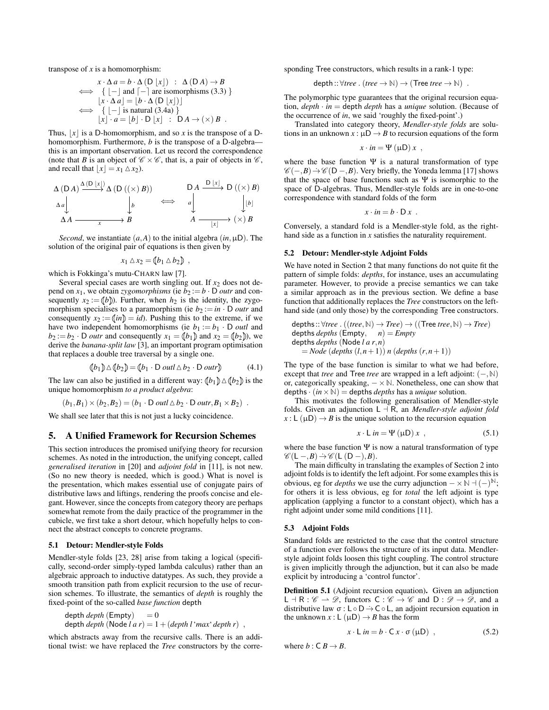transpose of *x* is a homomorphism:

$$
x \cdot \Delta a = b \cdot \Delta (D [x]) : \Delta (DA) \rightarrow B
$$
  
\n
$$
\iff \{ [- ] \text{ and } [- ] \text{ are isomorphisms (3.3)} \}
$$
  
\n
$$
[x \cdot \Delta a] = [b \cdot \Delta (D [x])]
$$
  
\n
$$
\iff \{ [- ] \text{ is natural (3.4a)} \}
$$
  
\n
$$
|x| \cdot a = |b| \cdot D |x| : DA \rightarrow (x) B .
$$

Thus,  $|x|$  is a D-homomorphism, and so *x* is the transpose of a Dhomomorphism. Furthermore, *b* is the transpose of a D-algebra this is an important observation. Let us record the correspondence (note that *B* is an object of  $\mathcal{C} \times \mathcal{C}$ , that is, a pair of objects in  $\mathcal{C}$ , and recall that  $|x| = x_1 \triangle x_2$ .

$$
\Delta (DA) \xrightarrow{\Delta (D |x|)} \Delta (D ((\times) B))
$$
\n
$$
\Delta a \downarrow \qquad \downarrow b
$$
\n
$$
\Delta A \xrightarrow{\qquad \qquad x \qquad B}
$$
\n
$$
\Delta B \xrightarrow{\qquad \qquad b \qquad \qquad } A \xrightarrow{\qquad \qquad a \downarrow} ( \times B)
$$

*Second*, we instantiate  $(a, A)$  to the initial algebra  $(in, \mu D)$ . The solution of the original pair of equations is then given by

$$
x_1 \triangle x_2 = (b_1 \triangle b_2),
$$

which is Fokkinga's mutu-CHARN law [\[7\]](#page-11-18).

Several special cases are worth singling out. If  $x_2$  does not depend on  $x_1$ , we obtain *zygomorphisms* (ie  $b_2 := b \cdot D$  *outr* and consequently  $x_2 := (b)$ . Further, when  $h_2$  is the identity, the zygomorphism specialises to a paramorphism (ie  $b_2 := in \cdot D$  *outr* and consequently  $x_2 := (in) = id$ . Pushing this to the extreme, if we have two independent homomorphisms (ie  $b_1 := b_1 \cdot D$  *outl* and  $b_2 := b_2 \cdot D$  *outr* and consequently  $x_1 = (b_1)$  and  $x_2 = (b_2)$ , we derive the *banana-split law* [\[3\]](#page-11-19), an important program optimisation that replaces a double tree traversal by a single one.

<span id="page-4-4"></span>
$$
\langle b_1 \rangle \triangle \langle b_2 \rangle = \langle b_1 \cdot D \text{ outl} \triangle b_2 \cdot D \text{ outr} \rangle \tag{4.1}
$$

The law can also be justified in a different way:  $(b_1) \triangle (b_2)$  is the unique homomorphism *to a product algebra*:

$$
(b_1, B_1) \times (b_2, B_2) = (b_1 \cdot D \text{ out } \triangle b_2 \cdot D \text{ out } r, B_1 \times B_2).
$$

We shall see later that this is not just a lucky coincidence.

## <span id="page-4-0"></span>5. A Unified Framework for Recursion Schemes

This section introduces the promised unifying theory for recursion schemes. As noted in the introduction, the unifying concept, called *generalised iteration* in [\[20\]](#page-11-20) and *adjoint fold* in [\[11\]](#page-11-11), is not new. (So no new theory is needed, which is good.) What is novel is the presentation, which makes essential use of conjugate pairs of distributive laws and liftings, rendering the proofs concise and elegant. However, since the concepts from category theory are perhaps somewhat remote from the daily practice of the programmer in the cubicle, we first take a short detour, which hopefully helps to connect the abstract concepts to concrete programs.

#### 5.1 Detour: Mendler-style Folds

Mendler-style folds [\[23,](#page-11-21) [28\]](#page-11-22) arise from taking a logical (specifically, second-order simply-typed lambda calculus) rather than an algebraic approach to inductive datatypes. As such, they provide a smooth transition path from explicit recursion to the use of recursion schemes. To illustrate, the semantics of *depth* is roughly the fixed-point of the so-called *base function* depth

$$
\begin{array}{ll}\n\text{depth } \operatorname{depth}( \operatorname{Empty}) & = 0 \\
\text{depth } \operatorname{depth}( \operatorname{Node} \operatorname{I} \operatorname{r}) = 1 + (\operatorname{depth} \operatorname{I} \operatorname{'} \operatorname{max} \operatorname{depth} \operatorname{r}) \, \, ,\n\end{array}
$$

which abstracts away from the recursive calls. There is an additional twist: we have replaced the *Tree* constructors by the corresponding Tree constructors, which results in a rank-1 type:

$$
depth::\forall tree
$$
. (*tree*  $\rightarrow$   $\mathbb{N}) \rightarrow$  (**Tree** *tree*  $\rightarrow$   $\mathbb{N})$ .

The polymorphic type guarantees that the original recursion equation,  $depth \cdot in = depth \text{ depth}$  has a *unique* solution. (Because of the occurrence of *in*, we said 'roughly the fixed-point'.)

Translated into category theory, *Mendler-style folds* are solutions in an unknown  $x : \mu D \to B$  to recursion equations of the form

$$
x \cdot in = \Psi(\mu \mathsf{D}) x ,
$$

where the base function  $\Psi$  is a natural transformation of type  $\mathscr{C}(-,B) \rightarrow \mathscr{C}(D-,B)$ . Very briefly, the Yoneda lemma [\[17\]](#page-11-16) shows that the space of base functions such as  $\Psi$  is isomorphic to the space of D-algebras. Thus, Mendler-style folds are in one-to-one correspondence with standard folds of the form

$$
x \cdot in = b \cdot D x \; .
$$

Conversely, a standard fold is a Mendler-style fold, as the righthand side as a function in *x* satisfies the naturality requirement.

#### 5.2 Detour: Mendler-style Adjoint Folds

We have noted in Section [2](#page-1-0) that many functions do not quite fit the pattern of simple folds: *depths*, for instance, uses an accumulating parameter. However, to provide a precise semantics we can take a similar approach as in the previous section. We define a base function that additionally replaces the *Tree* constructors on the lefthand side (and only those) by the corresponding Tree constructors.

 $depths::\forall tree$ .  $((tree, \mathbb{N}) \rightarrow Tree) \rightarrow ((Tree, \mathbb{N}) \rightarrow Tree)$ depths *depths* (Empty,  $n$ ) = *Empty* depths *depths* (Node *l a r*,*n*)  $=$  *Node* (*depths*  $(l, n+1)$ ) *n* (*depths*  $(r, n+1)$ )

The type of the base function is similar to what we had before, except that *tree* and Tree *tree* are wrapped in a left adjoint:  $(-, \mathbb{N})$ or, categorically speaking,  $-\times \mathbb{N}$ . Nonetheless, one can show that depths  $·$   $(in \times \mathbb{N})$  = depths *depths* has a *unique* solution.

This motivates the following generalisation of Mendler-style folds. Given an adjunction  $L \overrightarrow{R}$ , an *Mendler-style adjoint fold*  $x: L(\mu D) \rightarrow B$  is the unique solution to the recursion equation

<span id="page-4-1"></span>
$$
x \cdot \mathsf{L} \text{ in } = \Psi \text{ (}\mu\mathsf{D}\text{)}\, x \tag{5.1}
$$

where the base function  $\Psi$  is now a natural transformation of type  $\mathscr{C}(L-,B) \rightarrow \mathscr{C}(L (D-),B).$ 

The main difficulty in translating the examples of Section [2](#page-1-0) into adjoint folds is to identify the left adjoint. For some examples this is obvious, eg for *depths* we use the curry adjunction  $-\times \mathbb{N}$  + (−)<sup> $\mathbb{N}$ </sup>; for others it is less obvious, eg for *total* the left adjoint is type application (applying a functor to a constant object), which has a right adjoint under some mild conditions [\[11\]](#page-11-11).

#### <span id="page-4-3"></span>5.3 Adjoint Folds

Standard folds are restricted to the case that the control structure of a function ever follows the structure of its input data. Mendlerstyle adjoint folds loosen this tight coupling. The control structure is given implicitly through the adjunction, but it can also be made explicit by introducing a 'control functor'.

Definition 5.1 (Adjoint recursion equation). Given an adjunction  $L \dashv R : \mathscr{C} \to \mathscr{D}$ , functors  $C : \mathscr{C} \to \mathscr{C}$  and  $D : \mathscr{D} \to \mathscr{D}$ , and a distributive law  $\sigma : L \circ D \rightarrow C \circ L$ , an adjoint recursion equation in the unknown  $x : L(\mu \mathsf{D}) \to B$  has the form

<span id="page-4-2"></span>
$$
x \cdot \mathsf{L} \text{ in} = b \cdot \mathsf{C} \, x \cdot \sigma \, (\mu \mathsf{D}) \tag{5.2}
$$

where  $b: C B \rightarrow B$ .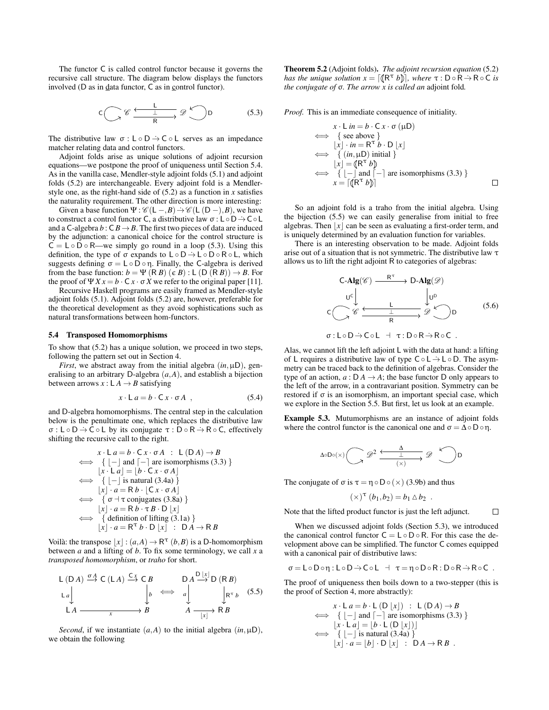The functor C is called control functor because it governs the recursive call structure. The diagram below displays the functors involved ( $D$  as in data functor,  $C$  as in control functor).

<span id="page-5-1"></span>
$$
C \bigodot \mathscr{C} \xrightarrow{\mathsf{L}} \mathscr{D} \bigodot \mathsf{D} \tag{5.3}
$$

The distributive law  $\sigma : L \circ D \rightarrow C \circ L$  serves as an impedance matcher relating data and control functors.

Adjoint folds arise as unique solutions of adjoint recursion equations—we postpone the proof of uniqueness until Section [5.4.](#page-5-0) As in the vanilla case, Mendler-style adjoint folds [\(5.1\)](#page-4-1) and adjoint folds [\(5.2\)](#page-4-2) are interchangeable. Every adjoint fold is a Mendlerstyle one, as the right-hand side of  $(5.2)$  as a function in *x* satisfies the naturality requirement. The other direction is more interesting:

Given a base function  $\Psi : \mathcal{C}(L-,B) \rightarrow \mathcal{C}(L(D-),B)$ , we have to construct a control functor C, a distributive law  $\sigma : L \circ D \rightarrow C \circ L$ and a C-algebra  $b: C B \rightarrow B$ . The first two pieces of data are induced by the adjunction: a canonical choice for the control structure is  $C = L \circ D \circ R$ —we simply go round in a loop [\(5.3\)](#page-5-1). Using this definition, the type of  $\sigma$  expands to  $L \circ D \rightarrow L \circ D \circ R \circ L$ , which suggests defining  $σ = L ∘ D ∘ η$ . Finally, the C-algebra is derived from the base function:  $b = \Psi (R B) (\epsilon B)$ : L  $(D (R B)) \rightarrow B$ . For the proof of  $\Psi X x = b \cdot C x \cdot \sigma X$  we refer to the original paper [\[11\]](#page-11-11).

Recursive Haskell programs are easily framed as Mendler-style adjoint folds [\(5.1\)](#page-4-1). Adjoint folds [\(5.2\)](#page-4-2) are, however, preferable for the theoretical development as they avoid sophistications such as natural transformations between hom-functors.

#### <span id="page-5-0"></span>5.4 Transposed Homomorphisms

To show that [\(5.2\)](#page-4-2) has a unique solution, we proceed in two steps, following the pattern set out in Section [4.](#page-3-0)

*First*, we abstract away from the initial algebra  $(in, \mu D)$ , generalising to an arbitrary D-algebra (*a*,*A*), and establish a bijection between arrows  $x : L A \rightarrow B$  satisfying

<span id="page-5-3"></span>
$$
x \cdot L a = b \cdot C x \cdot \sigma A , \qquad (5.4)
$$

and D-algebra homomorphisms. The central step in the calculation below is the penultimate one, which replaces the distributive law  $\sigma : L \circ D \rightarrow C \circ L$  by its conjugate  $\tau : D \circ R \rightarrow R \circ C$ , effectively shifting the recursive call to the right.

$$
x \cdot L a = b \cdot C x \cdot \sigma A : L (DA) \rightarrow B
$$
  
\n
$$
\iff \{ [- ] \text{ and } [- ] \text{ are isomorphisms (3.3)} \}
$$
  
\n
$$
[x \cdot L a] = [b \cdot C x \cdot \sigma A]
$$
  
\n
$$
\iff \{ [- ] \text{ is natural (3.4a)} \}
$$
  
\n
$$
[x] \cdot a = R b \cdot [C x \cdot \sigma A]
$$
  
\n
$$
\iff \{ \sigma \dashv \tau \text{ conjugates (3.8a)} \}
$$
  
\n
$$
[x] \cdot a = R b \cdot \tau B \cdot D [x]
$$
  
\n
$$
\iff \{ \text{definition of lifting (3.1a)} \}
$$
  
\n
$$
[x] \cdot a = R^{\tau} b \cdot D [x] : DA \rightarrow RB
$$

Voilà: the transpose  $|x| : (a,A) \to \mathsf{R}^{\tau}(b,B)$  is a D-homomorphism between *a* and a lifting of *b*. To fix some terminology, we call *x* a *transposed homomorphism*, or *traho* for short.

<span id="page-5-2"></span>
$$
L (DA) \xrightarrow{\sigma A} C (LA) \xrightarrow{Cx} CB \qquad DA \xrightarrow{D |x|} D (RB)
$$
  
\n
$$
L A \xrightarrow{x} B \qquad \downarrow b \qquad A \xrightarrow{[x]} R B
$$
 (5.5)

*Second*, if we instantiate  $(a, A)$  to the initial algebra  $(in, \mu D)$ , we obtain the following

Theorem 5.2 (Adjoint folds). *The adjoint recursion equation* [\(5.2\)](#page-4-2) *has the unique solution*  $x = [(\mathbb{R}^{\tau} b)]$ , where  $\tau : D \circ \mathbb{R} \rightarrow \mathbb{R} \circ \mathbb{C}$  *is the conjugate of* σ*. The arrow x is called an* adjoint fold*.*

*Proof.* This is an immediate consequence of initiality.

$$
x \cdot L \text{ in } = b \cdot Cx \cdot \sigma (\mu D)
$$
  
\n
$$
\iff \{ \text{see above } \}
$$
  
\n
$$
\lfloor x \rfloor \cdot \text{in } = R^{\tau} b \cdot D \lfloor x \rfloor
$$
  
\n
$$
\iff \{ (\text{in, } \mu D) \text{ initial } \}
$$
  
\n
$$
\lfloor x \rfloor = (R^{\tau} b)
$$
  
\n
$$
\iff \{ \lfloor - \rfloor \text{ and } \lceil - \rceil \text{ are isomorphisms (3.3)} \} \square
$$

So an adjoint fold is a traho from the initial algebra. Using the bijection [\(5.5\)](#page-5-2) we can easily generalise from initial to free algebras. Then  $|x|$  can be seen as evaluating a first-order term, and is uniquely determined by an evaluation function for variables.

There is an interesting observation to be made. Adjoint folds arise out of a situation that is not symmetric. The distributive law  $\tau$ allows us to lift the right adjoint R to categories of algebras:

<span id="page-5-4"></span>
$$
\begin{array}{ccc}\n\mathsf{C}\text{-}\mathbf{Alg}(\mathscr{C}) & \xrightarrow{\mathsf{R}^{\tau}} & \mathsf{D}\text{-}\mathbf{Alg}(\mathscr{D}) \\
\downarrow_{\mathsf{U}^{\mathsf{C}}} & \downarrow_{\mathsf{U}^{\mathsf{D}}} \\
\mathsf{C}\bigodot_{\mathsf{V}}\mathscr{C} & \xrightarrow{\mathsf{L}} & \mathscr{D} & \searrow \\
\hline\n\mathsf{C}\mathsf{C} & \mathsf{C}\mathsf{C} & \mathsf{C}\mathsf{C} & \mathsf{C}\mathsf{C}\n\end{array} \quad (5.6)
$$
\n
$$
\mathsf{C}\mathsf{C}\mathsf{C} \mathsf{C} \mathsf{C} \mathsf{C} \mathsf{C} \mathsf{C} \mathsf{C} \mathsf{C} \mathsf{C} \mathsf{C} \mathsf{C} \mathsf{C} \mathsf{C} \mathsf{C} \mathsf{C} \mathsf{C} \mathsf{C} \mathsf{C} \mathsf{C} \mathsf{C} \mathsf{C} \mathsf{C} \mathsf{C} \mathsf{C} \mathsf{C} \mathsf{C} \mathsf{C} \mathsf{C} \mathsf{C} \mathsf{C} \mathsf{C} \mathsf{C} \mathsf{C} \mathsf{C} \mathsf{C} \mathsf{C} \mathsf{C} \mathsf{C} \mathsf{C} \mathsf{C} \mathsf{C} \mathsf{C} \mathsf{C} \mathsf{C} \mathsf{C} \mathsf{C} \mathsf{C} \mathsf{C} \mathsf{C} \mathsf{C} \mathsf{C} \mathsf{C} \mathsf{C} \mathsf{C} \mathsf{C} \mathsf{C} \mathsf{C} \mathsf{C} \mathsf{C} \mathsf{C} \mathsf{C} \mathsf{C} \mathsf{C} \mathsf{C} \mathsf{C} \mathsf{C} \mathsf{C} \mathsf{C} \mathsf{C} \mathsf{C} \mathsf{C} \mathsf{C} \mathsf{C} \mathsf{C} \mathsf{C} \mathsf{C} \mathsf{C} \mathsf{C} \mathsf{C} \mathsf{C} \mathsf{C} \mathsf{C} \mathsf{C} \mathsf{C} \mathsf{C} \mathsf{C} \mathsf{C} \mathsf{C} \mathsf{C}
$$

Alas, we cannot lift the left adjoint L with the data at hand: a lifting of L requires a distributive law of type  $C \circ L \rightarrow L \circ D$ . The asymmetry can be traced back to the definition of algebras. Consider the type of an action,  $a : D A \rightarrow A$ ; the base functor D only appears to the left of the arrow, in a contravariant position. Symmetry can be restored if  $\sigma$  is an isomorphism, an important special case, which we explore in the Section [5.5.](#page-6-0) But first, let us look at an example.

Example 5.3. Mutumorphisms are an instance of adjoint folds where the control functor is the canonical one and  $\sigma = \Delta \circ D \circ \eta$ .

<sup>D</sup><sup>2</sup> <sup>⊥</sup> <sup>→</sup> <sup>D</sup> →(×) ∆◦D◦(×) <sup>→</sup> ∆ → D

The conjugate of  $\sigma$  is  $\tau = \eta \circ D \circ (\times)$  [\(3.9b\)](#page-3-5) and thus

$$
(\times)^{\tau} (b_1, b_2) = b_1 \triangle b_2 .
$$

Note that the lifted product functor is just the left adjunct.  $\Box$ 

When we discussed adjoint folds (Section [5.3\)](#page-4-3), we introduced the canonical control functor  $C = L \circ D \circ R$ . For this case the development above can be simplified. The functor C comes equipped with a canonical pair of distributive laws:

$$
\sigma = L \circ D \circ \eta : L \circ D \rightarrow C \circ L \quad \exists \quad \tau = \eta \circ D \circ R : D \circ R \rightarrow R \circ C \enspace .
$$

The proof of uniqueness then boils down to a two-stepper (this is the proof of Section [4,](#page-3-0) more abstractly):

$$
x \cdot \mathsf{L} \, a = b \cdot \mathsf{L} \, (\mathsf{D} \, [x]) \; : \; \mathsf{L} \, (\mathsf{D} \, A) \to B
$$
\n
$$
\iff \{ [- ] \text{ and } [- ] \text{ are isomorphisms (3.3)} \}
$$
\n
$$
[x \cdot \mathsf{L} \, a] = [b \cdot \mathsf{L} \, (\mathsf{D} \, [x])]
$$
\n
$$
\iff \{ [- ] \text{ is natural (3.4a)} \}
$$
\n
$$
|x| \cdot a = |b| \cdot \mathsf{D} \, |x| \; : \; \mathsf{D} \, A \to \mathsf{R} \, B \ .
$$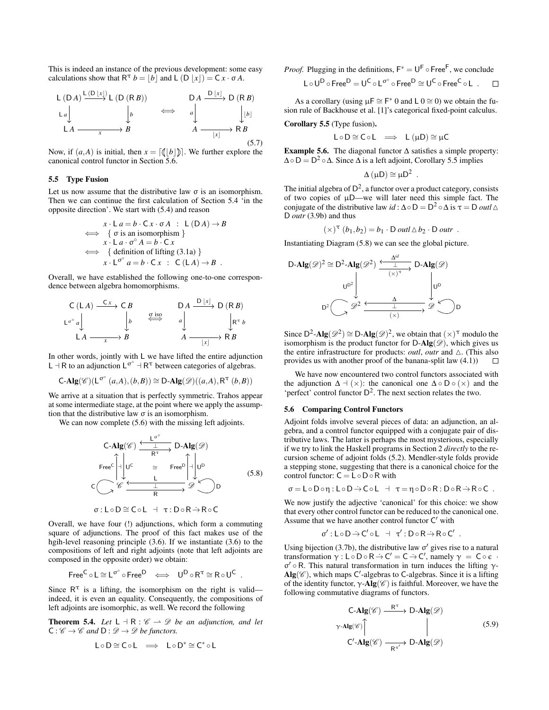This is indeed an instance of the previous development: some easy calculations show that  $R^{\tau} b = |b|$  and  $\mathsf{L} (D |x|) = C x \cdot \sigma A$ .

<span id="page-6-5"></span>
$$
L (DA) \xrightarrow{L (D [x])} L (D (RB))
$$
\n
$$
L a \downarrow b
$$
\n
$$
L A \xrightarrow{x} B
$$
\n
$$
B
$$
\n
$$
D A \xrightarrow{D [x]} D (RB)
$$
\n
$$
a \downarrow b
$$
\n
$$
A \xrightarrow{[x]} RB
$$
\n
$$
(5.7)
$$

Now, if  $(a, A)$  is initial, then  $x = \lfloor (a \mid b \mid a) \rfloor$ . We further explore the canonical control functor in Section [5.6.](#page-6-1)

## <span id="page-6-0"></span>5.5 Type Fusion

Let us now assume that the distributive law  $\sigma$  is an isomorphism. Then we can continue the first calculation of Section [5.4](#page-5-0) 'in the opposite direction'. We start with [\(5.4\)](#page-5-3) and reason

$$
x \cdot L a = b \cdot C x \cdot \sigma A : L (DA) \rightarrow B
$$
  
\n
$$
\iff \{ \sigma \text{ is an isomorphism} \}
$$
  
\n
$$
x \cdot L a \cdot \sigma^{\circ} A = b \cdot C x
$$
  
\n
$$
\iff \{ \text{definition of lifting (3.1a)} \}
$$
  
\n
$$
x \cdot L^{\sigma^{\circ}} a = b \cdot C x : C (LA) \rightarrow B .
$$

Overall, we have established the following one-to-one correspondence between algebra homomorphisms.

$$
\begin{array}{ccc}\nC (LA) & \xrightarrow{C x} & CB & DA & \xrightarrow{D [x]} & D (RB) \\
\downarrow b & \xrightarrow{\sigma \text{ iso}} & a & \downarrow \rightarrow R^T b \\
\downarrow A & \xrightarrow{x} & B & A & \xrightarrow{[x]} & RB\n\end{array}
$$

In other words, jointly with L we have lifted the entire adjunction L  $\exists$  R to an adjunction  $L^{\sigma^{\circ}}$   $\exists$  R<sup> $\tau$ </sup> between categories of algebras.

$$
\mathsf{C}\text{-}\mathbf{Alg}(\mathscr{C})(\mathsf{L}^{\sigma^{\circ}}(a,A),(b,B))\cong \mathsf{D}\text{-}\mathbf{Alg}(\mathscr{D})((a,A),\mathsf{R}^{\tau}(b,B))
$$

We arrive at a situation that is perfectly symmetric. Trahos appear at some intermediate stage, at the point where we apply the assumption that the distributive law  $\sigma$  is an isomorphism.

We can now complete  $(5.6)$  with the missing left adjoints.

<span id="page-6-3"></span>
$$
\begin{array}{ccc}\n\mathbf{C}\text{-}\mathbf{Alg}(\mathscr{C}) & \xleftarrow{\mathbf{L}^{\sigma^{\circ}}} & \mathbf{D}\text{-}\mathbf{Alg}(\mathscr{D}) \\
& \xrightarrow{\mathbf{Free}^{\mathbb{C}}}\begin{bmatrix} \mathbb{I} & \mathbb{R}^{\tau} \\
\mathbb{I} & \mathbb{Q} & \mathbb{R}^{\tau} \\
\mathbb{I} & \mathbb{Q} & \mathbb{Q} \\
\mathbb{I} & \mathbb{R} & \mathbb{Q} \\
\mathbb{I} & \mathbb{Q} & \mathbb{Q} \\
\mathbb{I} & \mathbb{Q} & \mathbb{Q} \\
\mathbb{I} & \mathbb{Q} & \mathbb{Q} & \mathbb{Q} \\
\mathbb{I} & \mathbb{Q} & \mathbb{Q} & \mathbb{Q} \\
\mathbb{I} & \mathbb{Q} & \mathbb{Q} & \mathbb{Q} & \mathbb{Q} \\
\mathbb{I} & \mathbb{Q} & \mathbb{Q} & \mathbb{Q} & \mathbb{Q} \\
\mathbb{I} & \mathbb{Q} & \mathbb{Q} & \mathbb{Q} & \mathbb{Q} \\
\mathbb{I} & \mathbb{Q} & \mathbb{Q} & \mathbb{Q} & \mathbb{Q} & \mathbb{Q} \\
\mathbb{I} & \mathbb{Q} & \mathbb{Q} & \mathbb{Q} & \mathbb{Q} & \mathbb{Q} & \mathbb{Q} \\
\mathbb{I} & \mathbb{Q} & \mathbb{Q} & \mathbb{Q} & \mathbb{Q} & \mathbb{Q} & \mathbb{Q} \\
\mathbb{I} & \mathbb{Q} & \mathbb{Q} & \mathbb{Q} & \mathbb{Q} & \mathbb{Q} & \mathbb{Q} \\
\mathbb{I} & \mathbb{Q} & \mathbb{Q} & \mathbb{Q} & \mathbb{Q} & \mathbb{Q} & \mathbb{Q} \\
\mathbb{I} & \mathbb{Q} & \mathbb{
$$

Overall, we have four (!) adjunctions, which form a commuting square of adjunctions. The proof of this fact makes use of the hgih-level reasoning principle [\(3.6\)](#page-3-6). If we instantiate [\(3.6\)](#page-3-6) to the compositions of left and right adjoints (note that left adjoints are composed in the opposite order) we obtain:

$$
\mathsf{Free}^C \circ L \cong L^{\sigma^\circ} \circ \mathsf{Free}^D \quad \Longleftrightarrow \quad U^D \circ R^\tau \cong R \circ U^C \enspace .
$$

Since  $R^{\tau}$  is a lifting, the isomorphism on the right is valid indeed, it is even an equality. Consequently, the compositions of left adjoints are isomorphic, as well. We record the following

**Theorem 5.4.** *Let*  $L \dashv R : \mathscr{C} \to \mathscr{D}$  *be an adjunction, and let*  $C: \mathscr{C} \to \mathscr{C}$  *and*  $D: \mathscr{D} \to \mathscr{D}$  *be functors.* 

$$
L \circ D \cong C \circ L \implies L \circ D^* \cong C^* \circ L
$$

*Proof.* Plugging in the definitions,  $F^* = U^F \circ Free^F$ , we conclude

$$
L\circ U^D\circ \mathsf{Free}^D=U^C\circ L^{\sigma^\circ}\circ \mathsf{Free}^D\cong U^C\circ \mathsf{Free}^C\circ L\ .\qquad \Box
$$

As a corollary (using  $\mu \mathsf{F} \cong \mathsf{F}^*$  0 and  $\mathsf{L} \, 0 \cong 0$ ) we obtain the fusion rule of Backhouse et al. [\[1\]](#page-11-12)'s categorical fixed-point calculus.

<span id="page-6-2"></span>Corollary 5.5 (Type fusion).

$$
L \circ D \cong C \circ L \implies L(\mu D) \cong \mu C
$$

<span id="page-6-6"></span>Example 5.6. The diagonal functor  $\Delta$  satisfies a simple property:  $\Delta \circ D = D^2 \circ \Delta$ . Since  $\Delta$  is a left adjoint, Corollary [5.5](#page-6-2) implies

$$
\Delta\left(\mu\mathsf{D}\right)\cong\mu\mathsf{D}^2
$$

.

The initial algebra of  $\mathsf{D}^2$ , a functor over a product category, consists of two copies of µD—we will later need this simple fact. The conjugate of the distributive law *id* :  $\Delta \circ D = D^2 \circ \Delta$  is  $\tau = D$  *outl*  $\Delta$ D *outr* [\(3.9b\)](#page-3-5) and thus

$$
(\times)^{\tau} (b_1, b_2) = b_1 \cdot D \text{ \textit{outl} } \Delta b_2 \cdot D \text{ \textit{outr} } .
$$

Instantiating Diagram [\(5.8\)](#page-6-3) we can see the global picture.

$$
D\text{-}Alg(\mathscr{D})^2 \cong D^2\text{-}Alg(\mathscr{D}^2) \xrightarrow{\leftarrow} \xrightarrow{\Delta^{id}} D\text{-}Alg(\mathscr{D})
$$

$$
U^{D^2} \downarrow \qquad \downarrow U^{D}
$$

$$
D^2 \underbrace{\leftarrow} \mathscr{D}^2 \xrightarrow{\leftarrow} \xrightarrow{\Delta} \mathscr{D} \searrow
$$

$$
D^2 \underbrace{\leftarrow} \xrightarrow{\mathscr{D}^2} \underbrace{\leftarrow} \underbrace{\downarrow}_{( \times )} D
$$

Since  $D^2$ -Alg $(\mathscr{D}^2) \cong D$ -Alg $(\mathscr{D})^2$ , we obtain that  $(\times)^\tau$  modulo the isomorphism is the product functor for  $D-Alg(\mathcal{D})$ , which gives us the entire infrastructure for products: *outl, outr* and  $\triangle$ . (This also provides us with another proof of the banana-split law [\(4.1\)](#page-4-4))  $\Box$ 

We have now encountered two control functors associated with the adjunction  $\Delta$  + ( $\times$ ): the canonical one  $\Delta \circ D \circ (\times)$  and the 'perfect' control functor  $D^2$ . The next section relates the two.

## <span id="page-6-1"></span>5.6 Comparing Control Functors

Adjoint folds involve several pieces of data: an adjunction, an algebra, and a control functor equipped with a conjugate pair of distributive laws. The latter is perhaps the most mysterious, especially if we try to link the Haskell programs in Section [2](#page-1-0) *directly* to the recursion scheme of adjoint folds [\(5.2\)](#page-4-2). Mendler-style folds provide a stepping stone, suggesting that there is a canonical choice for the control functor:  $C = L \circ D \circ R$  with

$$
\sigma = L \circ D \circ \eta : L \circ D \rightarrow C \circ L \quad \dashv \quad \tau = \eta \circ D \circ R : D \circ R \rightarrow R \circ C \enspace .
$$

We now justify the adjective 'canonical' for this choice: we show that every other control functor can be reduced to the canonical one. Assume that we have another control functor  $C'$  with

$$
\sigma': L \circ D \rightarrow C' \circ L \quad \exists \quad \tau': D \circ R \rightarrow R \circ C' \ .
$$

Using bijection [\(3.7b\)](#page-3-7), the distributive law  $\sigma'$  gives rise to a natural transformation  $\gamma : L \circ D \circ R \to C' = C \to C'$ , namely  $\gamma = C \circ \epsilon$ .  $σ'$   $\circ$  R. This natural transformation in turn induces the lifting  $γ$ - $Alg(\mathcal{C})$ , which maps C'-algebras to C-algebras. Since it is a lifting of the identity functor,  $\gamma$ -Alg( $\mathscr{C}$ ) is faithful. Moreover, we have the following commutative diagrams of functors.

<span id="page-6-4"></span>
$$
\begin{array}{ccc}\n\mathsf{C}\text{-}\mathbf{Alg}(\mathscr{C}) & \xrightarrow{\mathsf{R}^{\tau}} & \mathsf{D}\text{-}\mathbf{Alg}(\mathscr{D}) \\
\gamma \text{-}\mathbf{Alg}(\mathscr{C}) & & \parallel \\
\mathsf{C}'\text{-}\mathbf{Alg}(\mathscr{C}) & \xrightarrow{\mathsf{R}^{\tau'}} & \mathsf{D}\text{-}\mathbf{Alg}(\mathscr{D})\n\end{array} \tag{5.9}
$$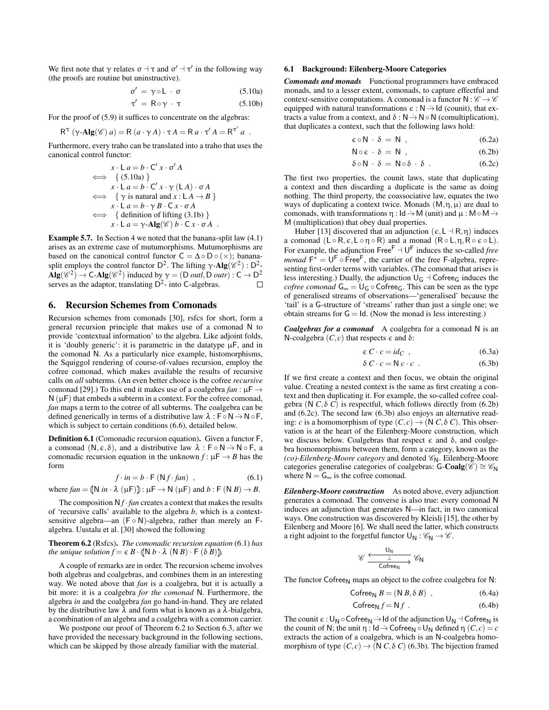We first note that  $\gamma$  relates  $\sigma \dashv \tau$  and  $\sigma' \dashv \tau'$  in the following way (the proofs are routine but uninstructive).

$$
\sigma' = \gamma \circ L \cdot \sigma \tag{5.10a}
$$

$$
\tau' = R \circ \gamma \cdot \tau \tag{5.10b}
$$

For the proof of  $(5.9)$  it suffices to concentrate on the algebras:

$$
R^{\tau} (\gamma - \mathbf{Alg}(\mathscr{C}) a) = R (a \cdot \gamma A) \cdot \tau A = R a \cdot \tau' A = R^{\tau'} a.
$$

Furthermore, every traho can be translated into a traho that uses the canonical control functor:

$$
x \cdot L a = b \cdot C' x \cdot \sigma' A
$$
  
\n
$$
\iff \{ (5.10a) \}
$$
  
\n
$$
x \cdot L a = b \cdot C' x \cdot \gamma (L A) \cdot \sigma A
$$
  
\n
$$
\iff \{ \gamma \text{ is natural and } x : L A \rightarrow B \}
$$
  
\n
$$
x \cdot L a = b \cdot \gamma B \cdot C x \cdot \sigma A
$$
  
\n
$$
\iff \{ \text{definition of lifting (3.1b)} \}
$$
  
\n
$$
x \cdot L a = \gamma \cdot Alg(\mathscr{C}) b \cdot C x \cdot \sigma A
$$

Example 5.7. In Section [4](#page-3-0) we noted that the banana-split law [\(4.1\)](#page-4-4) arises as an extreme case of mutumorphisms. Mutumorphisms are based on the canonical control functor  $C = \Delta \circ D \circ (\times)$ ; bananasplit employs the control functor  $D^2$ . The lifting  $\gamma$ -Alg $(\mathscr{C}^2)$ :  $D^2$ - $\text{Alg}(\mathcal{C}^2) \to \text{C-Alg}(\mathcal{C}^2)$  induced by  $\gamma = (\text{D} \text{ outl}, \text{D} \text{ outr}) : \text{C} \to \text{D}^2$ serves as the adaptor, translating  $D^2$ - into C-algebras.  $\Box$ 

## <span id="page-7-0"></span>6. Recursion Schemes from Comonads

Recursion schemes from comonads [\[30\]](#page-11-9), rsfcs for short, form a general recursion principle that makes use of a comonad N to provide 'contextual information' to the algebra. Like adjoint folds, it is 'doubly generic': it is parametric in the datatype  $\mu$ F, and in the comonad N. As a particularly nice example, histomorphisms, the Squiggol rendering of course-of-values recursion, employ the cofree comonad, which makes available the results of recursive calls on *all* subterms. (An even better choice is the cofree *recursive* comonad [\[29\]](#page-11-23).) To this end it makes use of a coalgebra  $fan: \mu \rightarrow$  $N(\mu)$  that embeds a subterm in a context. For the cofree comonad, *fan* maps a term to the cotree of all subterms. The coalgebra can be defined generically in terms of a distributive law  $\lambda : F \circ N \rightarrow N \circ F$ , which is subject to certain conditions  $(6.6)$ , detailed below.

Definition 6.1 (Comonadic recursion equation). Given a functor F, a comonad  $(N,\epsilon,\delta)$ , and a distributive law  $\lambda : F \circ N \to N \circ F$ , a comonadic recursion equation in the unknown  $f: \mu \to B$  has the form

<span id="page-7-2"></span>
$$
f \cdot in = b \cdot \mathsf{F} \left( \mathsf{N} f \cdot \mathit{fan} \right) , \qquad (6.1)
$$

where  $fan = (\mathsf{N} \text{ in } \cdot \lambda \ (\mu \mathsf{F})) : \mu \mathsf{F} \to \mathsf{N} \ (\mu \mathsf{F}) \text{ and } b : \mathsf{F} \ (\mathsf{N} \ B) \to B.$ 

The composition  $Nf$  *fan* creates a context that makes the results of 'recursive calls' available to the algebra *b*, which is a contextsensitive algebra—an  $(F \circ N)$ -algebra, rather than merely an Falgebra. Uustalu et al. [\[30\]](#page-11-9) showed the following

<span id="page-7-3"></span>Theorem 6.2 (Rsfcs). *The comonadic recursion equation* [\(6.1\)](#page-7-2) *has the unique solution*  $f = \epsilon B \cdot (N b \cdot \lambda (N B) \cdot F (\delta B))$ .

A couple of remarks are in order. The recursion scheme involves both algebras and coalgebras, and combines them in an interesting way. We noted above that *fan* is a coalgebra, but it is actually a bit more: it is a coalgebra *for the comonad* N. Furthermore, the algebra *in* and the coalgebra *fan* go hand-in-hand. They are related by the distributive law  $\lambda$  and form what is known as a  $\lambda$ -bialgebra, a combination of an algebra and a coalgebra with a common carrier.

We postpone our proof of Theorem [6.2](#page-7-3) to Section [6.3,](#page-8-1) after we have provided the necessary background in the following sections, which can be skipped by those already familiar with the material.

## 6.1 Background: Eilenberg-Moore Categories

<span id="page-7-1"></span>*Comonads and monads* Functional programmers have embraced monads, and to a lesser extent, comonads, to capture effectful and context-sensitive computations. A comonad is a functor  $N : \mathscr{C} \to \mathscr{C}$ equipped with natural transformations  $\epsilon : N \rightarrow Id$  (counit), that extracts a value from a context, and  $\delta : N \rightarrow N \circ N$  (comultiplication), that duplicates a context, such that the following laws hold:

$$
\varepsilon \circ \mathsf{N} \cdot \delta = \mathsf{N} \tag{6.2a}
$$

<span id="page-7-5"></span><span id="page-7-4"></span>
$$
N \circ \varepsilon \cdot \delta = N \t{,} \t(6.2b)
$$

$$
\delta \circ \mathsf{N} \cdot \delta = \mathsf{N} \circ \delta \cdot \delta \tag{6.2c}
$$

The first two properties, the counit laws, state that duplicating a context and then discarding a duplicate is the same as doing nothing. The third property, the coassociative law, equates the two ways of duplicating a context twice. Monads  $(M, \eta, \mu)$  are dual to comonads, with transformations  $\eta : Id \rightarrow M$  (unit) and  $\mu : M \circ M \rightarrow$ M (multiplication) that obey dual properties.

Huber [\[13\]](#page-11-24) discovered that an adjunction ( $\epsilon$ , L  $\exists$  R, $\eta$ ) induces a comonad  $(L \circ R, \varepsilon, L \circ \eta \circ R)$  and a monad  $(R \circ L, \eta, R \circ \varepsilon \circ L)$ . For example, the adjunction  $\mathsf{Free}^{\mathsf{F}} \dashv \mathsf{U}^{\mathsf{F}}$  induces the so-called *free monad*  $F^* = U^F \circ Free^F$ , the carrier of the free F-algebra, representing first-order terms with variables. (The comonad that arises is less interesting.) Dually, the adjunction  $U_G \dashv \text{Cofree}_G$  induces the *cofree comonad*  $G_{\infty} = U_G \circ \text{Cofree}_G$ . This can be seen as the type of generalised streams of observations—'generalised' because the 'tail' is a G-structure of 'streams' rather than just a single one; we obtain streams for  $G = Id$ . (Now the monad is less interesting.)

*Coalgebras for a comonad* A coalgebra for a comonad N is an N-coalgebra  $(C, c)$  that respects  $\epsilon$  and  $\delta$ :

<span id="page-7-6"></span>
$$
\varepsilon \ C \cdot c = id_C \quad , \tag{6.3a}
$$

$$
\delta C \cdot c = \mathsf{N} c \cdot c \tag{6.3b}
$$

If we first create a context and then focus, we obtain the original value. Creating a nested context is the same as first creating a context and then duplicating it. For example, the so-called cofree coalgebra ( $N C$ ,  $\delta C$ ) is respectful, which follows directly from [\(6.2b\)](#page-7-4) and [\(6.2c\)](#page-7-5). The second law [\(6.3b\)](#page-7-6) also enjoys an alternative reading: *c* is a homomorphism of type  $(C, c) \rightarrow (N \ C, \delta \ C)$ . This observation is at the heart of the Eilenberg-Moore construction, which we discuss below. Coalgebras that respect  $\epsilon$  and  $\delta$ , and coalgebra homomorphisms between them, form a category, known as the *(co)-Eilenberg-Moore category* and denoted  $\mathcal{C}_N$ . Eilenberg-Moore categories generalise categories of coalgebras: G-Coalg( $\mathcal{C}$ ) ≅  $\mathcal{C}_N$ where  $N = G_{\infty}$  is the cofree comonad.

*Eilenberg-Moore construction* As noted above, every adjunction generates a comonad. The converse is also true: every comonad N induces an adjunction that generates N—in fact, in two canonical ways. One construction was discovered by Kleisli [\[15\]](#page-11-25), the other by Eilenberg and Moore [\[6\]](#page-11-26). We shall need the latter, which constructs a right adjoint to the forgetful functor  $U_N : \mathcal{C}_N \to \mathcal{C}$ .

$$
\mathscr{C} \xrightarrow{\begin{array}{c} U_N \\ \hline \bot \end{array}} \mathscr{C}_N
$$

The functor  $\mathsf{Cofree}_N$  maps an object to the cofree coalgebra for N:

$$
\text{Cofree}_N \ B = (N \ B, \delta \ B) \quad , \tag{6.4a}
$$

$$
Cofree_N f = Nf . \t\t(6.4b)
$$

The counit  $\epsilon : U_N \circ \text{Cofree}_N \to \text{Id}$  of the adjunction  $U_N \to \text{Cofree}_N$  is the counit of N; the unit  $\eta$  : Id  $\rightarrow$  Cofree<sub>N</sub>  $\circ$  U<sub>N</sub> defined  $\eta$  (*C*, *c*) = *c* extracts the action of a coalgebra, which is an N-coalgebra homomorphism of type  $(C, c) \rightarrow (N \, C, \delta \, C)$  [\(6.3b\)](#page-7-6). The bijection framed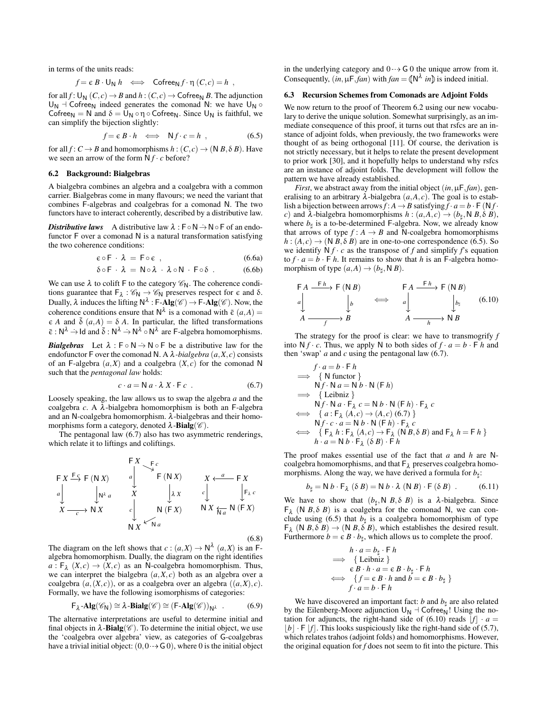in terms of the units reads:

$$
f = \varepsilon \, B \cdot \mathsf{U}_\mathsf{N} \, h \quad \Longleftrightarrow \quad \mathsf{Cofree}_\mathsf{N} \, f \cdot \eta \, (C,c) = h \enspace ,
$$

for all  $f: \bigcup_N (C, c) \to B$  and  $h: (C, c) \to \text{Cofree}_N B$ . The adjunction  $U_N$   $\exists$  Cofree<sub>N</sub> indeed generates the comonad N: we have  $U_N$   $\circ$ Cofree<sub>N</sub> = N and  $\delta = \dot{U}_N \circ \eta \circ \text{Cofree}_N$ . Since  $U_N$  is faithful, we can simplify the bijection slightly:

<span id="page-8-3"></span>
$$
f = \varepsilon \, B \cdot h \iff \mathsf{N} \, f \cdot c = h \tag{6.5}
$$

for all  $f: C \to B$  and homomorphisms  $h: (C, c) \to (\mathbb{N} B, \delta B)$ . Have we seen an arrow of the form  $Nf \cdot c$  before?

#### 6.2 Background: Bialgebras

A bialgebra combines an algebra and a coalgebra with a common carrier. Bialgebras come in many flavours; we need the variant that combines F-algebras and coalgebras for a comonad N. The two functors have to interact coherently, described by a distributive law.

*Distributive laws* A distributive law  $\lambda : F \circ N \rightarrow N \circ F$  of an endofunctor F over a comonad N is a natural transformation satisfying the two coherence conditions:

<span id="page-8-0"></span>
$$
\varepsilon \circ \mathsf{F} \cdot \lambda = \mathsf{F} \circ \varepsilon \quad , \tag{6.6a}
$$

$$
\delta \circ F \cdot \lambda = N \circ \lambda \cdot \lambda \circ N \cdot F \circ \delta . \tag{6.6b}
$$

We can use  $\lambda$  to colift F to the category  $\mathcal{C}_{N}$ . The coherence conditions guarantee that  $F_{\lambda}: \mathscr{C}_{N} \to \mathscr{C}_{N}$  preserves respect for  $\epsilon$  and  $\delta$ . Dually,  $\lambda$  induces the lifting  $N^{\lambda}$  : F-Alg( $\mathscr{C}$ )  $\rightarrow$  F-Alg( $\mathscr{C}$ ). Now, the coherence conditions ensure that  $N^{\lambda}$  is a comonad with  $\bar{\epsilon}(a, A)$  =  $\epsilon A$  and  $\bar{\delta}$  (*a*,*A*) =  $\delta A$ . In particular, the lifted transformations  $\bar{\epsilon}: N^{\lambda} \to \text{Id}$  and  $\bar{\delta}: N^{\lambda} \to N^{\lambda} \circ N^{\lambda}$  are F-algebra homomorphisms.

*Bialgebras* Let  $\lambda : F \circ N \to N \circ F$  be a distributive law for the endofunctor F over the comonad N. A  $\lambda$ -bialgebra  $(a, X, c)$  consists of an F-algebra  $(a, X)$  and a coalgebra  $(X, c)$  for the comonad N such that the *pentagonal law* holds:

$$
c \cdot a = \mathsf{N} \, a \cdot \lambda \, X \cdot \mathsf{F} \, c \tag{6.7}
$$

(6.8)

Loosely speaking, the law allows us to swap the algebra *a* and the coalgebra *c*. A λ-bialgebra homomorphism is both an F-algebra and an N-coalgebra homomorphism. λ-bialgebras and their homomorphisms form a category, denoted  $\lambda$ -**Bialg**( $\mathscr{C}$ ).

The pentagonal law [\(6.7\)](#page-8-2) also has two asymmetric renderings, which relate it to liftings and coliftings.

F *X* F (N *X*) *X* N *X a*→ → F *c* <sup>→</sup>N<sup>λ</sup> *<sup>a</sup> <sup>c</sup>*→ F *X* F (N *X*) *X* N (F *X*) N *X a*→ → F *c* <sup>→</sup><sup>λ</sup> *<sup>X</sup> c*→ → N *a X* F *X* N *X* N (F *X*) *c*→ <sup>→</sup>*<sup>a</sup>* <sup>→</sup>F<sup>λ</sup> *<sup>c</sup>* → N *a*

The diagram on the left shows that  $c:(a,X) \to \mathbb{N}^{\lambda}(a,X)$  is an Falgebra homomorphism. Dually, the diagram on the right identifies  $a: \mathsf{F}_{\lambda}(X,c) \to (X,c)$  as an N-coalgebra homomorphism. Thus, we can interpret the bialgebra  $(a, X, c)$  both as an algebra over a coalgebra  $(a, (X, c))$ , or as a coalgebra over an algebra  $((a, X), c)$ . Formally, we have the following isomorphisms of categories:

<span id="page-8-6"></span>
$$
\mathsf{F}_{\lambda}\text{-}\mathbf{Alg}(\mathscr{C}_{\mathsf{N}})\cong \lambda\text{-}\mathbf{Bialg}(\mathscr{C})\cong (\mathsf{F}\text{-}\mathbf{Alg}(\mathscr{C}))_{\mathsf{N}^{\lambda}}\ . \tag{6.9}
$$

The alternative interpretations are useful to determine initial and final objects in  $\lambda$ -**Bialg**( $\mathcal{C}$ ). To determine the initial object, we use the 'coalgebra over algebra' view, as categories of G-coalgebras have a trivial initial object:  $(0, 0 \rightarrow G 0)$ , where 0 is the initial object in the underlying category and  $0 \rightarrow$  G 0 the unique arrow from it. Consequently,  $(in, \mu F, fan)$  with  $fan = (\mathbb{N}^{\lambda} \text{ in})$  is indeed initial.

#### <span id="page-8-1"></span>6.3 Recursion Schemes from Comonads are Adjoint Folds

We now return to the proof of Theorem [6.2](#page-7-3) using our new vocabulary to derive the unique solution. Somewhat surprisingly, as an immediate consequence of this proof, it turns out that rsfcs are an instance of adjoint folds, when previously, the two frameworks were thought of as being orthogonal [\[11\]](#page-11-11). Of course, the derivation is not strictly necessary, but it helps to relate the present development to prior work [\[30\]](#page-11-9), and it hopefully helps to understand why rsfcs are an instance of adjoint folds. The development will follow the pattern we have already established.

*First*, we abstract away from the initial object (*in*,µF,*fan*), generalising to an arbitrary  $\lambda$ -bialgebra  $(a, A, c)$ . The goal is to establish a bijection between arrows  $f: A \rightarrow B$  satisfying  $f \cdot a = b \cdot F(Nf \cdot a)$ *c*) and λ-bialgebra homomorphisms *h* : (*a*,*A*,*c*) → (*b*<sub>‡</sub>, N *B*,δ *B*), where  $b_{\sharp}$  is a to-be-determined F-algebra. Now, we already know that arrows of type  $f : A \rightarrow B$  and N-coalgebra homomorphisms  $h : (A, c) \rightarrow (N B, \delta B)$  are in one-to-one correspondence [\(6.5\)](#page-8-3). So we identify  $N f \cdot c$  as the transpose of *f* and simplify *f*'s equation to  $f \cdot a = b \cdot F h$ . It remains to show that *h* is an F-algebra homomorphism of type  $(a,A) \rightarrow (b_{\sharp}, \mathsf{N}\,B)$ .

<span id="page-8-5"></span><span id="page-8-4"></span>
$$
F A \xrightarrow{F h} F (N B) \qquad \qquad F A \xrightarrow{F h} F (N B) \qquad \qquad \downarrow b \qquad \qquad \downarrow b \qquad \qquad \downarrow b \qquad \qquad \downarrow b \qquad (6.10)
$$
\n
$$
A \xrightarrow{f} B \qquad \qquad A \xrightarrow{h} N B
$$

The strategy for the proof is clear: we have to transmogrify *f* into  $N f \cdot c$ . Thus, we apply N to both sides of  $f \cdot a = b \cdot F h$  and then 'swap' *a* and *c* using the pentagonal law [\(6.7\)](#page-8-2).

<span id="page-8-2"></span>
$$
f \cdot a = b \cdot \mathsf{F} \, h
$$
  
\n
$$
\Rightarrow \{ \mathsf{N} \text{ functor} \}
$$
  
\n
$$
\mathsf{N} f \cdot \mathsf{N} \, a = \mathsf{N} \, b \cdot \mathsf{N} \, (\mathsf{F} \, h)
$$
  
\n
$$
\Rightarrow \{ \text{Leibniz} \}
$$
  
\n
$$
\mathsf{N} f \cdot \mathsf{N} \, a \cdot \mathsf{F}_{\lambda} \, c = \mathsf{N} \, b \cdot \mathsf{N} \, (\mathsf{F} \, h) \cdot \mathsf{F}_{\lambda} \, c
$$
  
\n
$$
\Leftrightarrow \{ a : \mathsf{F}_{\lambda} \, (A, c) \rightarrow (A, c) \, (6.7) \}
$$
  
\n
$$
\mathsf{N} f \cdot c \cdot a = \mathsf{N} \, b \cdot \mathsf{N} \, (\mathsf{F} \, h) \cdot \mathsf{F}_{\lambda} \, c
$$
  
\n
$$
\Leftrightarrow \{ \mathsf{F}_{\lambda} \, h : \mathsf{F}_{\lambda} \, (A, c) \rightarrow \mathsf{F}_{\lambda} \, (\mathsf{N} \, B, \delta \, B) \text{ and } \mathsf{F}_{\lambda} \, h = \mathsf{F} \, h \}
$$
  
\n
$$
h \cdot a = \mathsf{N} \, b \cdot \mathsf{F}_{\lambda} \, (\delta \, B) \cdot \mathsf{F} \, h
$$

The proof makes essential use of the fact that *a* and *h* are Ncoalgebra homomorphisms, and that  $F_{\lambda}$  preserves coalgebra homomorphisms. Along the way, we have derived a formula for  $b_{\sharp}$ :

$$
b_{\sharp} = \mathsf{N} \ b \cdot \mathsf{F}_{\lambda} \ (\delta \ B) = \mathsf{N} \ b \cdot \lambda \ (\mathsf{N} \ B) \cdot \mathsf{F} \ (\delta \ B) \ . \tag{6.11}
$$

We have to show that  $(b_{\sharp}, \mathbb{N} \mid B, \delta \mid B)$  is a  $\lambda$ -bialgebra. Since  $F_{\lambda}$  (N *B*,  $\delta$  *B*) is a coalgebra for the comonad N, we can con-clude using [\(6.5\)](#page-8-3) that  $b_{\sharp}$  is a coalgebra homomorphism of type  $F_{\lambda}$  (N *B*,  $\delta$  *B*)  $\rightarrow$  (N *B*,  $\delta$  *B*), which establishes the desired result. Furthermore  $b = \epsilon B \cdot b_{\sharp}$ , which allows us to complete the proof.

$$
h \cdot a = b_{\sharp} \cdot \mathsf{F} \, h
$$
  
\n
$$
\implies \{ \text{Leibniz} \}
$$
  
\n
$$
\epsilon B \cdot h \cdot a = \epsilon B \cdot b_{\sharp} \cdot \mathsf{F} \, h
$$
  
\n
$$
\iff \{ f = \epsilon B \cdot h \text{ and } b = \epsilon B \cdot b_{\sharp} \}
$$
  
\n
$$
f \cdot a = b \cdot \mathsf{F} \, h
$$

We have discovered an important fact:  $b$  and  $b_{\sharp}$  are also related by the Eilenberg-Moore adjunction  $U_N \dashv \mathsf{Cofree}_N!$ ! Using the no-tation for adjuncts, the right-hand side of [\(6.10\)](#page-8-4) reads  $|f| \cdot a =$  $|b| \cdot \mathsf{F} |f|$ . This looks suspiciously like the right-hand side of [\(5.7\)](#page-6-5), which relates trahos (adjoint folds) and homomorphisms. However, the original equation for *f* does not seem to fit into the picture. This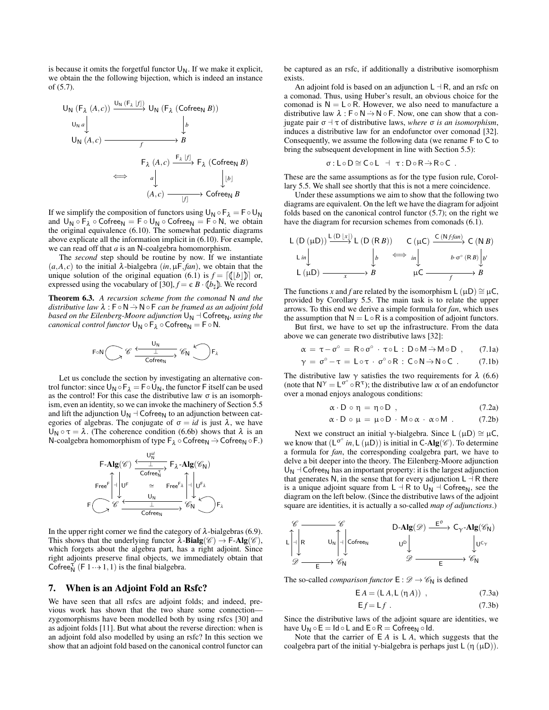is because it omits the forgetful functor  $U_N$ . If we make it explicit, we obtain the the following bijection, which is indeed an instance of [\(5.7\)](#page-6-5).

$$
U_{N} (F_{\lambda} (A, c)) \xrightarrow{U_{N} (F_{\lambda} [f])} U_{N} (F_{\lambda} (Cofree_{N} B))
$$
\n
$$
U_{N} (A, c) \xrightarrow{f} B
$$
\n
$$
F_{\lambda} (A, c) \xrightarrow{F_{\lambda} [f]} F_{\lambda} (Cofree_{N} B)
$$
\n
$$
\iff \begin{array}{c} e_{\lambda} \downarrow & \downarrow \downarrow \\ a \downarrow & \downarrow \downarrow \\ (A, c) \xrightarrow{f} & Cofree_{N} B \end{array}
$$

If we simplify the composition of functors using  $U_N \circ F_\lambda = F \circ U_N$ and  $U_N \circ F_\lambda \circ \text{Cofree}_N = F \circ U_N \circ \text{Cofree}_N = F \circ N$ , we obtain the original equivalence [\(6.10\)](#page-8-4). The somewhat pedantic diagrams above explicate all the information implicit in [\(6.10\)](#page-8-4). For example, we can read off that *a* is an N-coalgebra homomorphism.

The *second* step should be routine by now. If we instantiate  $(a, A, c)$  to the initial  $\lambda$ -bialgebra  $(in, \mu, F, fan)$ , we obtain that the unique solution of the original equation [\(6.1\)](#page-7-2) is  $f = \lceil (\lfloor b \rfloor) \rceil$  or, expressed using the vocabulary of  $[30]$ ,  $f = \epsilon B \cdot (b_{\sharp})$ . We record

Theorem 6.3. *A recursion scheme from the comonad* N *and the distributive law*  $λ : F ∘ N → N ∘ F$  *can be framed as an adjoint fold based on the Eilenberg-Moore adjunction*  $U_N + C$  of ree $N$ *, using the canonical control functor*  $U_N \circ F_\lambda \circ \text{Cofree}_N = F \circ N$ .

$$
F\circ N\bigodot_Y{\mathscr C}\xrightarrow[\text{Cofree}_N]{U_N} {\mathscr C}_N\bigodot F_\lambda
$$

Let us conclude the section by investigating an alternative control functor: since  $U_N \circ F_\lambda = F \circ U_N$ , the functor F itself can be used as the control! For this case the distributive law  $\sigma$  is an isomorphism, even an identity, so we can invoke the machinery of Section [5.5](#page-6-0) and lift the adjunction  $U_N$   $\neg$  Cofree<sub>N</sub> to an adjunction between categories of algebras. The conjugate of  $\sigma = id$  is just  $\lambda$ , we have  $U_N \circ \tau = \lambda$ . (The coherence condition [\(6.6b\)](#page-8-5) shows that  $\lambda$  is an N-coalgebra homomorphism of type  $F_{\lambda} \circ \text{Cofree}_N \rightarrow \text{Cofree}_N \circ F$ .)



In the upper right corner we find the category of  $\lambda$ -bialgebras [\(6.9\)](#page-8-6). This shows that the underlying functor  $\lambda$ -**Bialg**( $\mathscr{C}$ )  $\rightarrow$  **F-Alg**( $\mathscr{C}$ ), which forgets about the algebra part, has a right adjoint. Since right adjoints preserve final objects, we immediately obtain that Cofree $\tilde{\tau}$  (F 1  $\rightarrow$  1, 1) is the final bialgebra.

## <span id="page-9-0"></span>7. When is an Adjoint Fold an Rsfc?

We have seen that all rsfcs are adjoint folds; and indeed, previous work has shown that the two share some connection zygomorphisms have been modelled both by using rsfcs [\[30\]](#page-11-9) and as adjoint folds [\[11\]](#page-11-11). But what about the reverse direction: when is an adjoint fold also modelled by using an rsfc? In this section we show that an adjoint fold based on the canonical control functor can be captured as an rsfc, if additionally a distributive isomorphism exists.

An adjoint fold is based on an adjunction  $L \dashv R$ , and an rsfc on a comonad. Thus, using Huber's result, an obvious choice for the comonad is  $N = L \circ R$ . However, we also need to manufacture a distributive law  $\lambda : F \circ N \to N \circ F$ . Now, one can show that a conjugate pair  $σ$  +  $τ$  of distributive laws, *where*  $σ$  *is an isomorphism*, induces a distributive law for an endofunctor over comonad [\[32\]](#page-11-27). Consequently, we assume the following data (we rename F to C to bring the subsequent development in line with Section [5.5\)](#page-6-0):

$$
\sigma:L\circ D\cong C\circ L\ \dashv\ \tau:D\circ R\,\dot{\to}\,R\circ C\ .
$$

These are the same assumptions as for the type fusion rule, Corollary [5.5.](#page-6-2) We shall see shortly that this is not a mere coincidence.

Under these assumptions we aim to show that the following two diagrams are equivalent. On the left we have the diagram for adjoint folds based on the canonical control functor [\(5.7\)](#page-6-5); on the right we have the diagram for recursion schemes from comonads [\(6.1\)](#page-7-2).

 $L$  ( $D$   $\rightarrow$   $D$ 

$$
L (D (\mu D)) \xrightarrow{L (D [x])} L (D (R B)) \xrightarrow{C (\mu C) \xrightarrow{C (N f f a m)} C (N B)}
$$
  
\n
$$
L \text{ in } \downarrow \qquad \qquad \downarrow b \qquad \qquad \downarrow b \cdot \sigma^{\circ} (R B) \downarrow b'
$$
  
\n
$$
L (\mu D) \xrightarrow{x} B \qquad \qquad \mu C \xrightarrow{f} B
$$

The functions *x* and *f* are related by the isomorphism L ( $\mu$ D)  $\cong \mu$ C, provided by Corollary [5.5.](#page-6-2) The main task is to relate the upper arrows. To this end we derive a simple formula for *fan*, which uses the assumption that  $N = L \circ R$  is a composition of adjoint functors. But first, we have to set up the infrastructure. From the data

above we can generate two distributive laws [\[32\]](#page-11-27):  $\mathbf{I} \quad \mathbf{D} \quad \mathbf{M} \cdot \mathbf{M} \quad \mathbf{D} \qquad (7.1 \text{.)}$ 

$$
\alpha = \tau - \sigma^{\circ} = R \circ \sigma^{\circ} \cdot \tau \circ L : D \circ M \rightarrow M \circ D , \qquad (7.1a)
$$

$$
\gamma = \sigma^{\circ} - \tau = L \circ \tau \cdot \sigma^{\circ} \circ R : C \circ N \rightarrow N \circ C . \qquad (7.1b)
$$

The distributive law  $\gamma$  satisfies the two requirements for  $\lambda$  [\(6.6\)](#page-8-0) (note that  $N^{\gamma} = L^{\sigma^{\circ}} \circ R^{\tau}$ ); the distributive law  $\alpha$  of an endofunctor over a monad enjoys analogous conditions:

<span id="page-9-1"></span>
$$
\alpha \cdot D \circ \eta = \eta \circ D \quad , \tag{7.2a}
$$

$$
\alpha \cdot D \circ \mu = \mu \circ D \cdot M \circ \alpha \cdot \alpha \circ M \ . \qquad (7.2b)
$$

Next we construct an initial γ-bialgebra. Since L (μD)  $\cong \mu C$ , we know that  $(L^{\sigma^{\circ}} in, L(\mu D))$  is initial in C-Alg( $\mathscr C$ ). To determine a formula for *fan*, the corresponding coalgebra part, we have to delve a bit deeper into the theory. The Eilenberg-Moore adjunction  $U_N \dashv$  Cofree<sub>N</sub> has an important property: it is the largest adjunction that generates N, in the sense that for every adjunction  $L \overrightarrow{R}$  there is a unique adjoint square from  $L \dashv R$  to  $U_N \dashv \text{Cofree}_N$ , see the diagram on the left below. (Since the distributive laws of the adjoint square are identities, it is actually a so-called *map of adjunctions*.)

$$
\begin{array}{ccc} \mathscr{C} & \xrightarrow{\hspace{15mm} \mathbb{C}} & \mathscr{C} & \xrightarrow{\hspace{15mm} \mathbf{D}\text{-}\mathbf{Alg}(\mathscr{D}) \xrightarrow{\hspace{15mm} E^\theta} & C_{\gamma}\text{-}\mathbf{Alg}(\mathscr{C}_{N}) \\ \downarrow \downarrow & & \downarrow \downarrow \\ \mathscr{D} & \xrightarrow{\hspace{15mm} E \xrightarrow{\hspace{15mm} \mathbb{C}} } & \mathscr{C}_{N} & \mathscr{D} & \xrightarrow{\hspace{15mm} E \xrightarrow{\hspace{15mm} \mathbb{C}} } & \mathscr{C}_{N} \end{array}
$$

The so-called *comparison functor*  $E : \mathcal{D} \to \mathcal{C}_N$  is defined

$$
EA = (LA, L(\eta A)) , \qquad (7.3a)
$$

$$
\mathsf{E}f = \mathsf{L}f \tag{7.3b}
$$

Since the distributive laws of the adjoint square are identities, we have  $U_N \circ E = Id \circ L$  and  $E \circ R = C$ ofree<sub>N</sub>  $\circ Id$ .

Note that the carrier of E *A* is L *A*, which suggests that the coalgebra part of the initial γ-bialgebra is perhaps just  $L (η (μD))$ .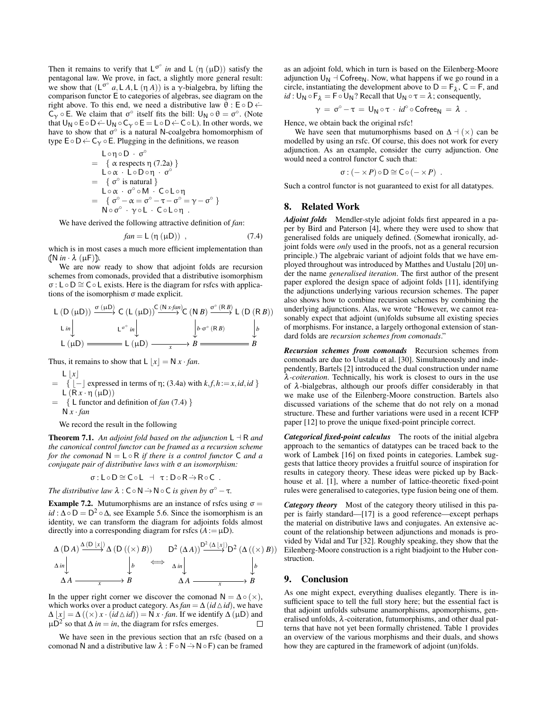Then it remains to verify that  $L^{\sigma^{\circ}}$  *in* and  $L(\eta(\mu D))$  satisfy the pentagonal law. We prove, in fact, a slightly more general result: we show that  $(L^{\sigma^{\circ}} a, L A, L (\eta A))$  is a  $\gamma$ -bialgebra, by lifting the comparison functor E to categories of algebras, see diagram on the right above. To this end, we need a distributive law  $\theta$  :  $E \circ D \leftarrow$  $C_{\gamma} \circ E$ . We claim that  $\sigma^{\circ}$  itself fits the bill:  $U_{N} \circ \theta = \sigma^{\circ}$ . (Note that  $U_N \circ E \circ D \leftarrow U_N \circ C_\gamma \circ E = L \circ D \leftarrow C \circ L$ ). In other words, we have to show that  $\sigma^{\circ}$  is a natural N-coalgebra homomorphism of type  $E \circ D \leftarrow C_{\gamma} \circ E$ . Plugging in the definitions, we reason

$$
L \circ \eta \circ D \cdot \sigma^{\circ}
$$
\n
$$
= \{ \alpha \text{ respects } \eta \text{ (7.2a)} \}
$$
\n
$$
L \circ \alpha \cdot L \circ D \circ \eta \cdot \sigma^{\circ}
$$
\n
$$
= \{ \sigma^{\circ} \text{ is natural} \}
$$
\n
$$
L \circ \alpha \cdot \sigma^{\circ} \circ M \cdot C \circ L \circ \eta
$$
\n
$$
= \{ \sigma^{\circ} - \alpha = \sigma^{\circ} - \tau - \sigma^{\circ} = \gamma - \sigma^{\circ} \}
$$
\n
$$
N \circ \sigma^{\circ} \cdot \gamma \circ L \cdot C \circ L \circ \eta
$$

We have derived the following attractive definition of *fan*:

<span id="page-10-2"></span>
$$
fan = L (η (μD)) , \t(7.4)
$$

which is in most cases a much more efficient implementation than  $(N \in \Lambda (\mu F))$ .

We are now ready to show that adjoint folds are recursion schemes from comonads, provided that a distributive isomorphism σ : L ◦D ∼= C◦ L exists. Here is the diagram for rsfcs with applications of the isomorphism σ made explicit.

$$
L (D (\mu D)) \xrightarrow{\sigma (\mu D)} C (L (\mu D)) \xrightarrow{C (N x f a n)} C (N B) \xrightarrow{\sigma^{\circ} (R B)} L (D (R B))
$$
  
\n
$$
L \infty^{\circ} \infty
$$
  
\n
$$
L (\mu D) \xrightarrow{\downarrow \sigma^{\circ} (R B)} L (\mu D) \xrightarrow{\downarrow} B \xrightarrow{\downarrow} B
$$

Thus, it remains to show that  $L |x| = N x \cdot fan$ .

 $L |x|$ 

- $= \{ \lfloor \rfloor \text{ expressed in terms of } η; (3.4a) \text{ with } k, f, h := x, id, id \}$  $= \{ \lfloor \rfloor \text{ expressed in terms of } η; (3.4a) \text{ with } k, f, h := x, id, id \}$  $= \{ \lfloor \rfloor \text{ expressed in terms of } η; (3.4a) \text{ with } k, f, h := x, id, id \}$ L  $(R x \cdot \eta (\mu D))$
- = { L functor and definition of *fan* [\(7.4\)](#page-10-2) }  $N x$  *fan*

We record the result in the following

**Theorem 7.1.** An adjoint fold based on the adjunction  $L \rightarrow R$  and *the canonical control functor can be framed as a recursion scheme for the comonad*  $N = L \circ R$  *if there is a control functor*  $C$  *and a conjugate pair of distributive laws with* σ *an isomorphism:*

$$
\sigma: L \circ D \cong C \circ L \ \dashv \ \tau: D \circ R \rightarrow R \circ C \ .
$$

*The distributive law*  $\lambda : C \circ N \rightarrow N \circ C$  *is given by*  $\sigma^{\circ} - \tau$ *.* 

**Example 7.2.** Mutumorphisms are an instance of rsfcs using  $\sigma =$  $id$  :  $\Delta \circ D = D^2 \circ \Delta$ , see Example [5.6.](#page-6-6) Since the isomorphism is an identity, we can transform the diagram for adjoints folds almost directly into a corresponding diagram for rsfcs  $(A := \mu D)$ .

$$
\Delta (D A) \xrightarrow{\Delta (D [x])} \Delta (D ((\times) B)) \qquad D^2 (\Delta A)) \xrightarrow{D^2 (\Delta [x])} D^2 (\Delta ((\times) B))
$$
  
\n
$$
\Delta in \qquad \downarrow b \qquad \longrightarrow \qquad \Delta in \qquad \downarrow b
$$
  
\n
$$
\Delta A \xrightarrow{\text{x}} B \qquad \qquad \Delta A \xrightarrow{\text{x}} B
$$

In the upper right corner we discover the comonad  $N = \Delta \circ (x)$ , which works over a product category. As  $fan = \Delta (id \Delta id)$ , we have  $\Delta |x| = \Delta ((\times) x \cdot (id \Delta id)) = \mathbb{N} x \cdot fan$ . If we identify  $\Delta (\mu \mathsf{D})$  and  $\mu \overline{D}^2$  so that  $\Delta$  *in* = *in*, the diagram for rsfcs emerges. П

We have seen in the previous section that an rsfc (based on a comonad N and a distributive law  $\lambda : F \circ N \rightarrow N \circ F$ ) can be framed as an adjoint fold, which in turn is based on the Eilenberg-Moore adjunction  $U_N$   $\vdash$  Cofree<sub>N</sub>. Now, what happens if we go round in a circle, instantiating the development above to  $D = F_{\lambda}$ ,  $C = F$ , and  $id: U_N \circ F_\lambda = F \circ U_N$ ? Recall that  $U_N \circ \tau = \lambda$ ; consequently,

$$
\gamma\,=\,\sigma^\circ-\tau\,=\,U_N\circ\tau\,\cdot\, \mathit{id}^\circ\circ\mathsf{Cofree}_N\,=\,\lambda\;.
$$

Hence, we obtain back the original rsfc!

We have seen that mutumorphisms based on  $\Delta \dashv (\times)$  can be modelled by using an rsfc. Of course, this does not work for every adjunction. As an example, consider the curry adjunction. One would need a control functor C such that:

$$
\sigma : (- \times P) \circ D \cong C \circ (- \times P) .
$$

Such a control functor is not guaranteed to exist for all datatypes.

## <span id="page-10-1"></span>8. Related Work

*Adjoint folds* Mendler-style adjoint folds first appeared in a paper by Bird and Paterson [\[4\]](#page-11-8), where they were used to show that generalised folds are uniquely defined. (Somewhat ironically, adjoint folds were *only* used in the proofs, not as a general recursion principle.) The algebraic variant of adjoint folds that we have employed throughout was introduced by Matthes and Uustalu [\[20\]](#page-11-20) under the name *generalised iteration*. The first author of the present paper explored the design space of adjoint folds [\[11\]](#page-11-11), identifying the adjunctions underlying various recursion schemes. The paper also shows how to combine recursion schemes by combining the underlying adjunctions. Alas, we wrote "However, we cannot reasonably expect that adjoint (un)folds subsume all existing species of morphisms. For instance, a largely orthogonal extension of standard folds are *recursion schemes from comonads*."

*Recursion schemes from comonads* Recursion schemes from comonads are due to Uustalu et al. [\[30\]](#page-11-9). Simultaneously and independently, Bartels [\[2\]](#page-11-28) introduced the dual construction under name λ*-coiteration*. Technically, his work is closest to ours in the use of λ-bialgebras, although our proofs differ considerably in that we make use of the Eilenberg-Moore construction. Bartels also discussed variations of the scheme that do not rely on a monad structure. These and further variations were used in a recent ICFP paper [\[12\]](#page-11-29) to prove the unique fixed-point principle correct.

*Categorical fixed-point calculus* The roots of the initial algebra approach to the semantics of datatypes can be traced back to the work of Lambek [\[16\]](#page-11-30) on fixed points in categories. Lambek suggests that lattice theory provides a fruitful source of inspiration for results in category theory. These ideas were picked up by Backhouse et al. [\[1\]](#page-11-12), where a number of lattice-theoretic fixed-point rules were generalised to categories, type fusion being one of them.

*Category theory* Most of the category theory utilised in this paper is fairly standard—[\[17\]](#page-11-16) is a good reference—except perhaps the material on distributive laws and conjugates. An extensive account of the relationship between adjunctions and monads is provided by Vidal and Tur [\[32\]](#page-11-27). Roughly speaking, they show that the Eilenberg-Moore construction is a right biadjoint to the Huber construction.

## <span id="page-10-0"></span>9. Conclusion

As one might expect, everything dualises elegantly. There is insufficient space to tell the full story here; but the essential fact is that adjoint unfolds subsume anamorphisms, apomorphisms, generalised unfolds, λ-coiteration, futumorphisms, and other dual patterns that have not yet been formally christened. Table [1](#page-11-31) provides an overview of the various morphisms and their duals, and shows how they are captured in the framework of adjoint (un)folds.